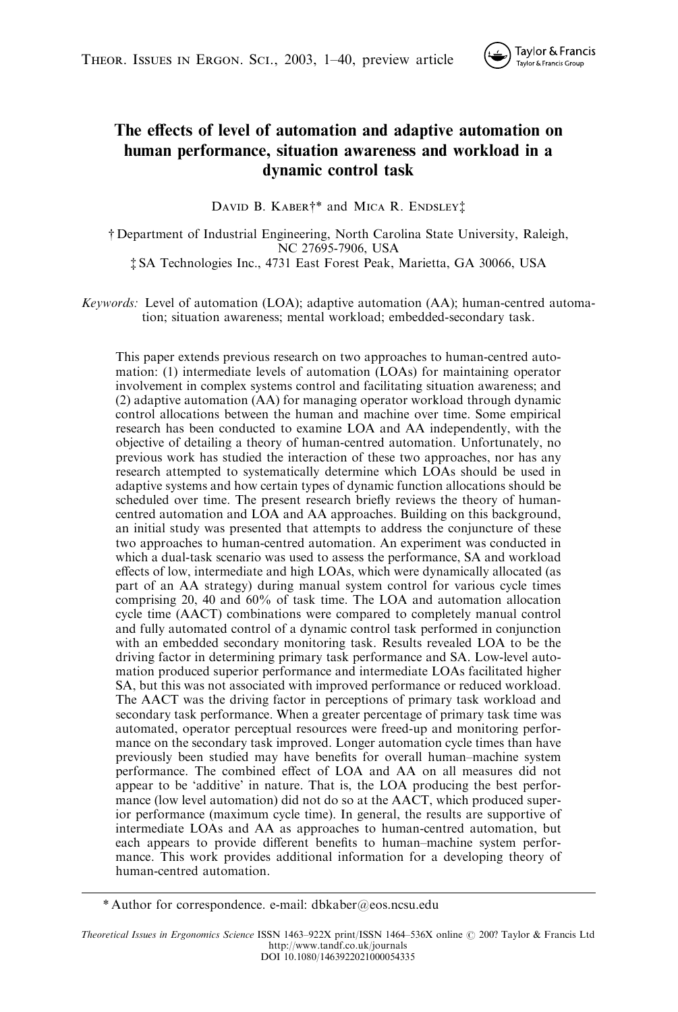

# The effects of level of automation and adaptive automation on human performance, situation awareness and workload in a dynamic control task

DAVID B. KABER<sup>†\*</sup> and MICA R. ENDSLEYİ

{ Department of Industrial Engineering, North Carolina State University, Raleigh, NC 27695-7906, USA { SA Technologies Inc., 4731 East Forest Peak, Marietta, GA 30066, USA

Keywords: Level of automation (LOA); adaptive automation (AA); human-centred automation; situation awareness; mental workload; embedded-secondary task.

This paper extends previous research on two approaches to human-centred automation: (1) intermediate levels of automation (LOAs) for maintaining operator involvement in complex systems control and facilitating situation awareness; and (2) adaptive automation (AA) for managing operator workload through dynamic control allocations between the human and machine over time. Some empirical research has been conducted to examine LOA and AA independently, with the objective of detailing a theory of human-centred automation. Unfortunately, no previous work has studied the interaction of these two approaches, nor has any research attempted to systematically determine which LOAs should be used in adaptive systems and how certain types of dynamic function allocations should be scheduled over time. The present research briefly reviews the theory of humancentred automation and LOA and AA approaches. Building on this background, an initial study was presented that attempts to address the conjuncture of these two approaches to human-centred automation. An experiment was conducted in which a dual-task scenario was used to assess the performance, SA and workload effects of low, intermediate and high LOAs, which were dynamically allocated (as part of an AA strategy) during manual system control for various cycle times comprising 20, 40 and 60% of task time. The LOA and automation allocation cycle time (AACT) combinations were compared to completely manual control and fully automated control of a dynamic control task performed in conjunction with an embedded secondary monitoring task. Results revealed LOA to be the driving factor in determining primary task performance and SA. Low-level automation produced superior performance and intermediate LOAs facilitated higher SA, but this was not associated with improved performance or reduced workload. The AACT was the driving factor in perceptions of primary task workload and secondary task performance. When a greater percentage of primary task time was automated, operator perceptual resources were freed-up and monitoring performance on the secondary task improved. Longer automation cycle times than have previously been studied may have benefits for overall human–machine system performance. The combined effect of LOA and AA on all measures did not appear to be 'additive' in nature. That is, the LOA producing the best performance (low level automation) did not do so at the AACT, which produced superior performance (maximum cycle time). In general, the results are supportive of intermediate LOAs and AA as approaches to human-centred automation, but each appears to provide different benefits to human–machine system performance. This work provides additional information for a developing theory of human-centred automation.

<sup>\*</sup> Author for correspondence. e-mail: dbkaber@eos.ncsu.edu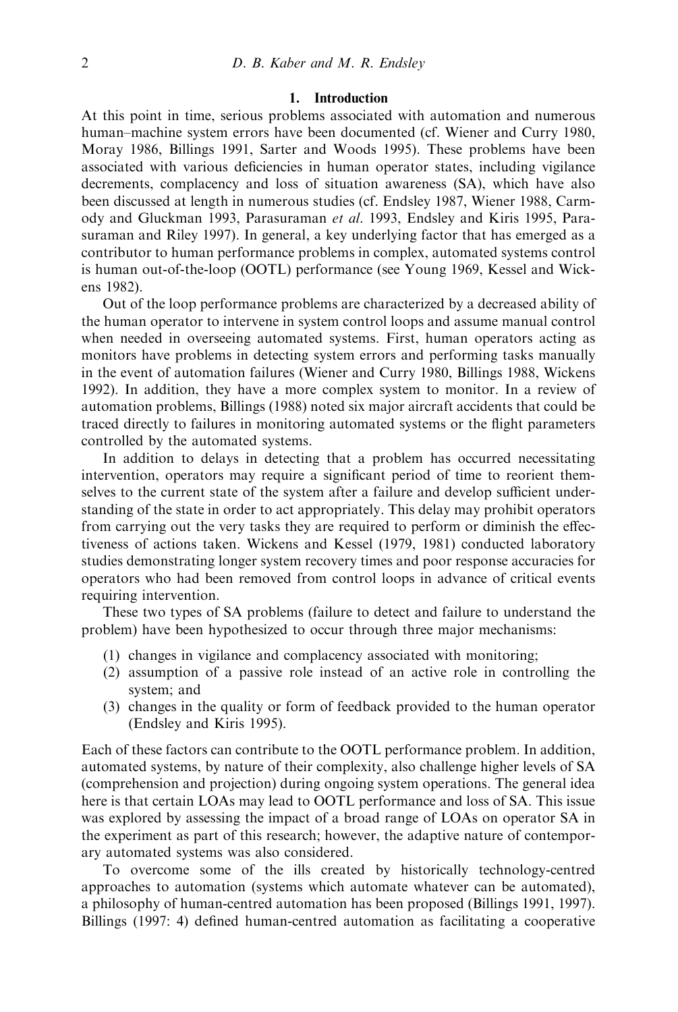#### 1. Introduction

At this point in time, serious problems associated with automation and numerous human–machine system errors have been documented (cf. Wiener and Curry 1980, Moray 1986, Billings 1991, Sarter and Woods 1995). These problems have been associated with various deficiencies in human operator states, including vigilance decrements, complacency and loss of situation awareness (SA), which have also been discussed at length in numerous studies (cf. Endsley 1987, Wiener 1988, Carmody and Gluckman 1993, Parasuraman et al. 1993, Endsley and Kiris 1995, Parasuraman and Riley 1997). In general, a key underlying factor that has emerged as a contributor to human performance problems in complex, automated systems control is human out-of-the-loop (OOTL) performance (see Young 1969, Kessel and Wickens 1982).

Out of the loop performance problems are characterized by a decreased ability of the human operator to intervene in system control loops and assume manual control when needed in overseeing automated systems. First, human operators acting as monitors have problems in detecting system errors and performing tasks manually in the event of automation failures (Wiener and Curry 1980, Billings 1988, Wickens 1992). In addition, they have a more complex system to monitor. In a review of automation problems, Billings (1988) noted six major aircraft accidents that could be traced directly to failures in monitoring automated systems or the flight parameters controlled by the automated systems.

In addition to delays in detecting that a problem has occurred necessitating intervention, operators may require a significant period of time to reorient themselves to the current state of the system after a failure and develop sufficient understanding of the state in order to act appropriately. This delay may prohibit operators from carrying out the very tasks they are required to perform or diminish the effectiveness of actions taken. Wickens and Kessel (1979, 1981) conducted laboratory studies demonstrating longer system recovery times and poor response accuracies for operators who had been removed from control loops in advance of critical events requiring intervention.

These two types of SA problems (failure to detect and failure to understand the problem) have been hypothesized to occur through three major mechanisms:

- (1) changes in vigilance and complacency associated with monitoring;
- (2) assumption of a passive role instead of an active role in controlling the system; and
- (3) changes in the quality or form of feedback provided to the human operator (Endsley and Kiris 1995).

Each of these factors can contribute to the OOTL performance problem. In addition, automated systems, by nature of their complexity, also challenge higher levels of SA (comprehension and projection) during ongoing system operations. The general idea here is that certain LOAs may lead to OOTL performance and loss of SA. This issue was explored by assessing the impact of a broad range of LOAs on operator SA in the experiment as part of this research; however, the adaptive nature of contemporary automated systems was also considered.

To overcome some of the ills created by historically technology-centred approaches to automation (systems which automate whatever can be automated), a philosophy of human-centred automation has been proposed (Billings 1991, 1997). Billings (1997: 4) defined human-centred automation as facilitating a cooperative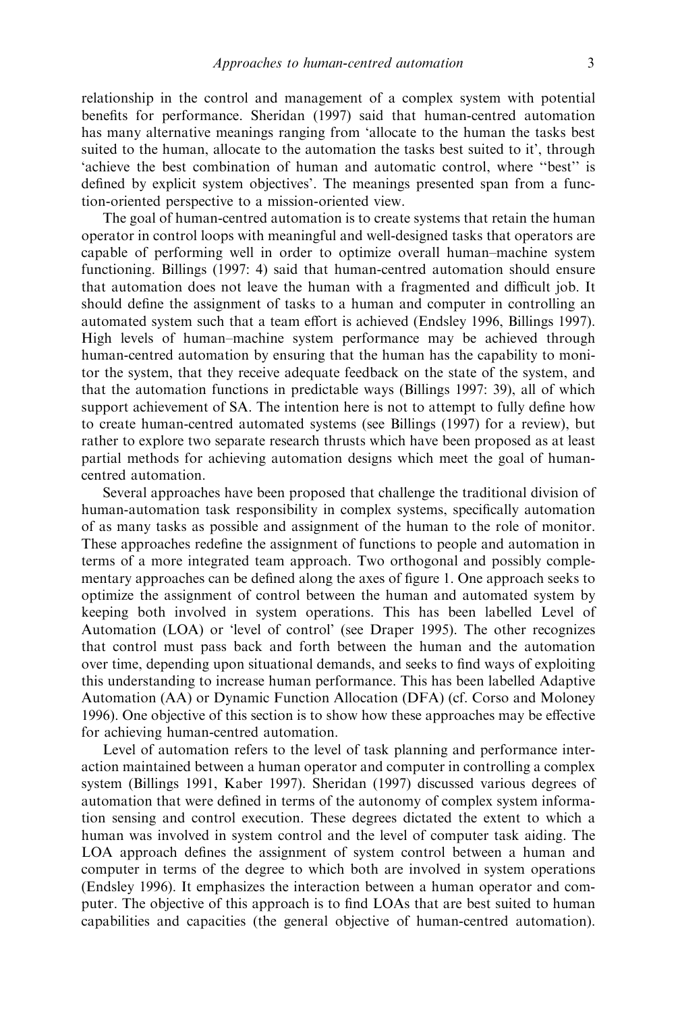relationship in the control and management of a complex system with potential benefits for performance. Sheridan (1997) said that human-centred automation has many alternative meanings ranging from 'allocate to the human the tasks best suited to the human, allocate to the automation the tasks best suited to it', through 'achieve the best combination of human and automatic control, where ''best'' is defined by explicit system objectives'. The meanings presented span from a function-oriented perspective to a mission-oriented view.

The goal of human-centred automation is to create systems that retain the human operator in control loops with meaningful and well-designed tasks that operators are capable of performing well in order to optimize overall human–machine system functioning. Billings (1997: 4) said that human-centred automation should ensure that automation does not leave the human with a fragmented and difficult job. It should define the assignment of tasks to a human and computer in controlling an automated system such that a team effort is achieved (Endsley 1996, Billings 1997). High levels of human–machine system performance may be achieved through human-centred automation by ensuring that the human has the capability to monitor the system, that they receive adequate feedback on the state of the system, and that the automation functions in predictable ways (Billings 1997: 39), all of which support achievement of SA. The intention here is not to attempt to fully define how to create human-centred automated systems (see Billings (1997) for a review), but rather to explore two separate research thrusts which have been proposed as at least partial methods for achieving automation designs which meet the goal of humancentred automation.

Several approaches have been proposed that challenge the traditional division of human-automation task responsibility in complex systems, specifically automation of as many tasks as possible and assignment of the human to the role of monitor. These approaches redefine the assignment of functions to people and automation in terms of a more integrated team approach. Two orthogonal and possibly complementary approaches can be defined along the axes of figure 1. One approach seeks to optimize the assignment of control between the human and automated system by keeping both involved in system operations. This has been labelled Level of Automation (LOA) or 'level of control' (see Draper 1995). The other recognizes that control must pass back and forth between the human and the automation over time, depending upon situational demands, and seeks to find ways of exploiting this understanding to increase human performance. This has been labelled Adaptive Automation (AA) or Dynamic Function Allocation (DFA) (cf. Corso and Moloney 1996). One objective of this section is to show how these approaches may be effective for achieving human-centred automation.

Level of automation refers to the level of task planning and performance interaction maintained between a human operator and computer in controlling a complex system (Billings 1991, Kaber 1997). Sheridan (1997) discussed various degrees of automation that were defined in terms of the autonomy of complex system information sensing and control execution. These degrees dictated the extent to which a human was involved in system control and the level of computer task aiding. The LOA approach defines the assignment of system control between a human and computer in terms of the degree to which both are involved in system operations (Endsley 1996). It emphasizes the interaction between a human operator and computer. The objective of this approach is to find LOAs that are best suited to human capabilities and capacities (the general objective of human-centred automation).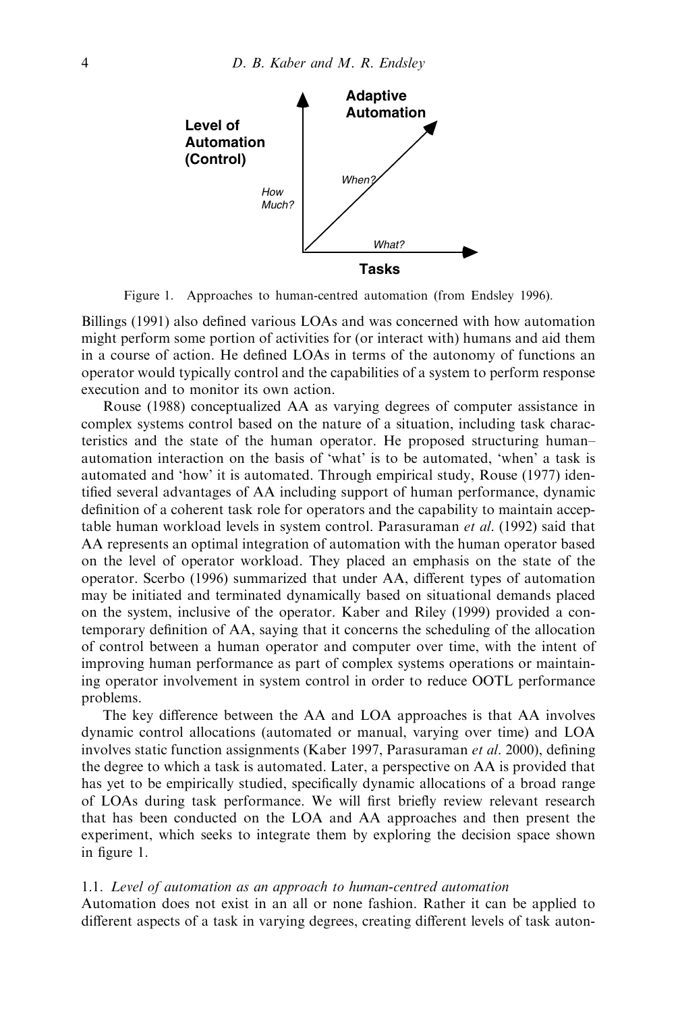

Figure 1. Approaches to human-centred automation (from Endsley 1996).

Billings (1991) also defined various LOAs and was concerned with how automation might perform some portion of activities for (or interact with) humans and aid them in a course of action. He defined LOAs in terms of the autonomy of functions an operator would typically control and the capabilities of a system to perform response execution and to monitor its own action.

Rouse (1988) conceptualized AA as varying degrees of computer assistance in complex systems control based on the nature of a situation, including task characteristics and the state of the human operator. He proposed structuring human– automation interaction on the basis of 'what' is to be automated, 'when' a task is automated and 'how' it is automated. Through empirical study, Rouse (1977) identified several advantages of AA including support of human performance, dynamic definition of a coherent task role for operators and the capability to maintain acceptable human workload levels in system control. Parasuraman *et al.* (1992) said that AA represents an optimal integration of automation with the human operator based on the level of operator workload. They placed an emphasis on the state of the operator. Scerbo (1996) summarized that under AA, different types of automation may be initiated and terminated dynamically based on situational demands placed on the system, inclusive of the operator. Kaber and Riley (1999) provided a contemporary definition of AA, saying that it concerns the scheduling of the allocation of control between a human operator and computer over time, with the intent of improving human performance as part of complex systems operations or maintaining operator involvement in system control in order to reduce OOTL performance problems.

The key difference between the AA and LOA approaches is that AA involves dynamic control allocations (automated or manual, varying over time) and LOA involves static function assignments (Kaber 1997, Parasuraman et al. 2000), defining the degree to which a task is automated. Later, a perspective on AA is provided that has yet to be empirically studied, specifically dynamic allocations of a broad range of LOAs during task performance. We will first briefly review relevant research that has been conducted on the LOA and AA approaches and then present the experiment, which seeks to integrate them by exploring the decision space shown in figure 1.

#### 1.1. Level of automation as an approach to human-centred automation

Automation does not exist in an all or none fashion. Rather it can be applied to different aspects of a task in varying degrees, creating different levels of task auton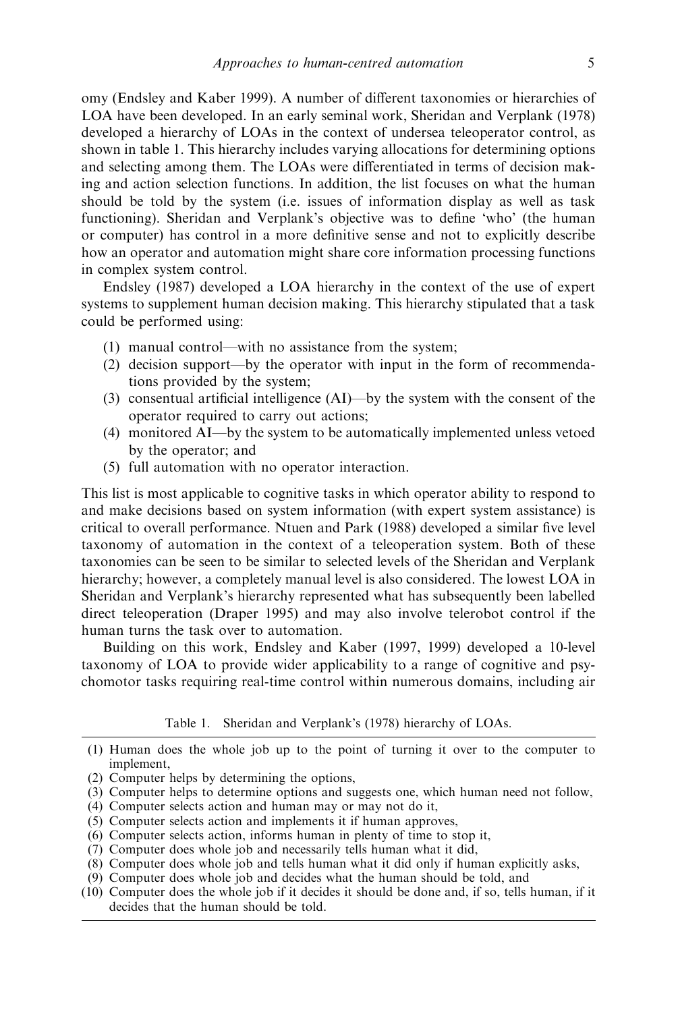omy (Endsley and Kaber 1999). A number of different taxonomies or hierarchies of LOA have been developed. In an early seminal work, Sheridan and Verplank (1978) developed a hierarchy of LOAs in the context of undersea teleoperator control, as shown in table 1. This hierarchy includes varying allocations for determining options and selecting among them. The LOAs were differentiated in terms of decision making and action selection functions. In addition, the list focuses on what the human should be told by the system (i.e. issues of information display as well as task functioning). Sheridan and Verplank's objective was to define 'who' (the human or computer) has control in a more definitive sense and not to explicitly describe how an operator and automation might share core information processing functions in complex system control.

Endsley (1987) developed a LOA hierarchy in the context of the use of expert systems to supplement human decision making. This hierarchy stipulated that a task could be performed using:

- (1) manual control—with no assistance from the system;
- (2) decision support—by the operator with input in the form of recommendations provided by the system;
- (3) consentual artificial intelligence (AI)—by the system with the consent of the operator required to carry out actions;
- (4) monitored AI—by the system to be automatically implemented unless vetoed by the operator; and
- (5) full automation with no operator interaction.

This list is most applicable to cognitive tasks in which operator ability to respond to and make decisions based on system information (with expert system assistance) is critical to overall performance. Ntuen and Park (1988) developed a similar five level taxonomy of automation in the context of a teleoperation system. Both of these taxonomies can be seen to be similar to selected levels of the Sheridan and Verplank hierarchy; however, a completely manual level is also considered. The lowest LOA in Sheridan and Verplank's hierarchy represented what has subsequently been labelled direct teleoperation (Draper 1995) and may also involve telerobot control if the human turns the task over to automation.

Building on this work, Endsley and Kaber (1997, 1999) developed a 10-level taxonomy of LOA to provide wider applicability to a range of cognitive and psychomotor tasks requiring real-time control within numerous domains, including air

Table 1. Sheridan and Verplank's (1978) hierarchy of LOAs.

- (2) Computer helps by determining the options,
- (3) Computer helps to determine options and suggests one, which human need not follow,
- (4) Computer selects action and human may or may not do it,
- (5) Computer selects action and implements it if human approves,
- (6) Computer selects action, informs human in plenty of time to stop it,
- (7) Computer does whole job and necessarily tells human what it did,
- (8) Computer does whole job and tells human what it did only if human explicitly asks,
- (9) Computer does whole job and decides what the human should be told, and
- (10) Computer does the whole job if it decides it should be done and, if so, tells human, if it decides that the human should be told.

<sup>(1)</sup> Human does the whole job up to the point of turning it over to the computer to implement,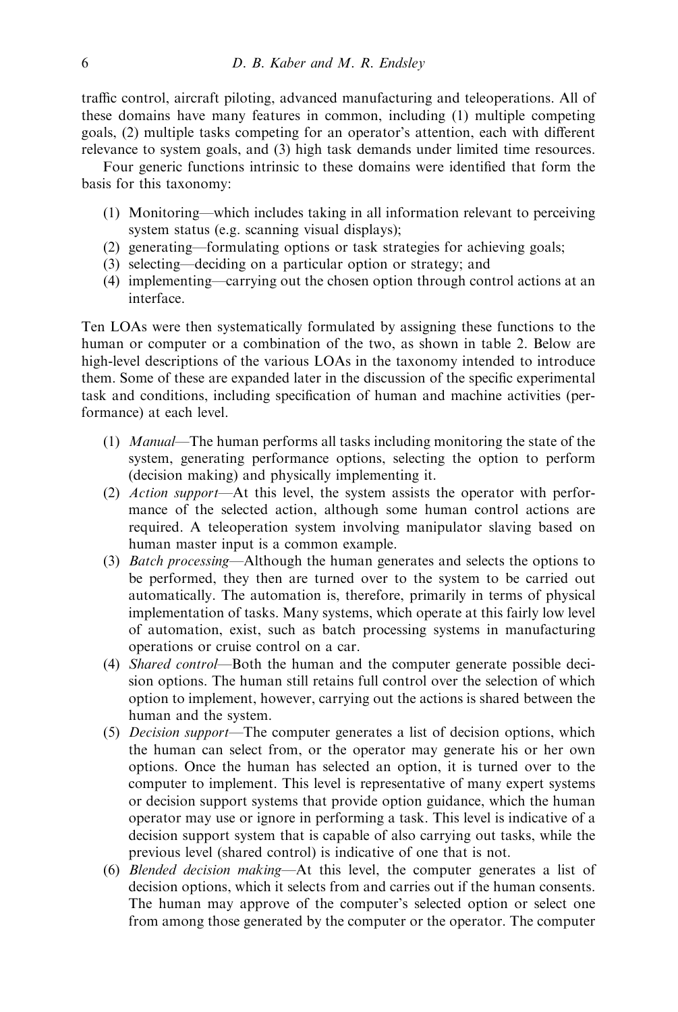traffic control, aircraft piloting, advanced manufacturing and teleoperations. All of these domains have many features in common, including (1) multiple competing goals, (2) multiple tasks competing for an operator's attention, each with different relevance to system goals, and (3) high task demands under limited time resources.

Four generic functions intrinsic to these domains were identified that form the basis for this taxonomy:

- (1) Monitoring—which includes taking in all information relevant to perceiving system status (e.g. scanning visual displays);
- (2) generating—formulating options or task strategies for achieving goals;
- (3) selecting—deciding on a particular option or strategy; and
- (4) implementing—carrying out the chosen option through control actions at an interface.

Ten LOAs were then systematically formulated by assigning these functions to the human or computer or a combination of the two, as shown in table 2. Below are high-level descriptions of the various LOAs in the taxonomy intended to introduce them. Some of these are expanded later in the discussion of the specific experimental task and conditions, including specification of human and machine activities (performance) at each level.

- (1) Manual—The human performs all tasks including monitoring the state of the system, generating performance options, selecting the option to perform (decision making) and physically implementing it.
- (2) Action support—At this level, the system assists the operator with performance of the selected action, although some human control actions are required. A teleoperation system involving manipulator slaving based on human master input is a common example.
- (3) Batch processing—Although the human generates and selects the options to be performed, they then are turned over to the system to be carried out automatically. The automation is, therefore, primarily in terms of physical implementation of tasks. Many systems, which operate at this fairly low level of automation, exist, such as batch processing systems in manufacturing operations or cruise control on a car.
- (4) Shared control—Both the human and the computer generate possible decision options. The human still retains full control over the selection of which option to implement, however, carrying out the actions is shared between the human and the system.
- (5) Decision support—The computer generates a list of decision options, which the human can select from, or the operator may generate his or her own options. Once the human has selected an option, it is turned over to the computer to implement. This level is representative of many expert systems or decision support systems that provide option guidance, which the human operator may use or ignore in performing a task. This level is indicative of a decision support system that is capable of also carrying out tasks, while the previous level (shared control) is indicative of one that is not.
- (6) Blended decision making—At this level, the computer generates a list of decision options, which it selects from and carries out if the human consents. The human may approve of the computer's selected option or select one from among those generated by the computer or the operator. The computer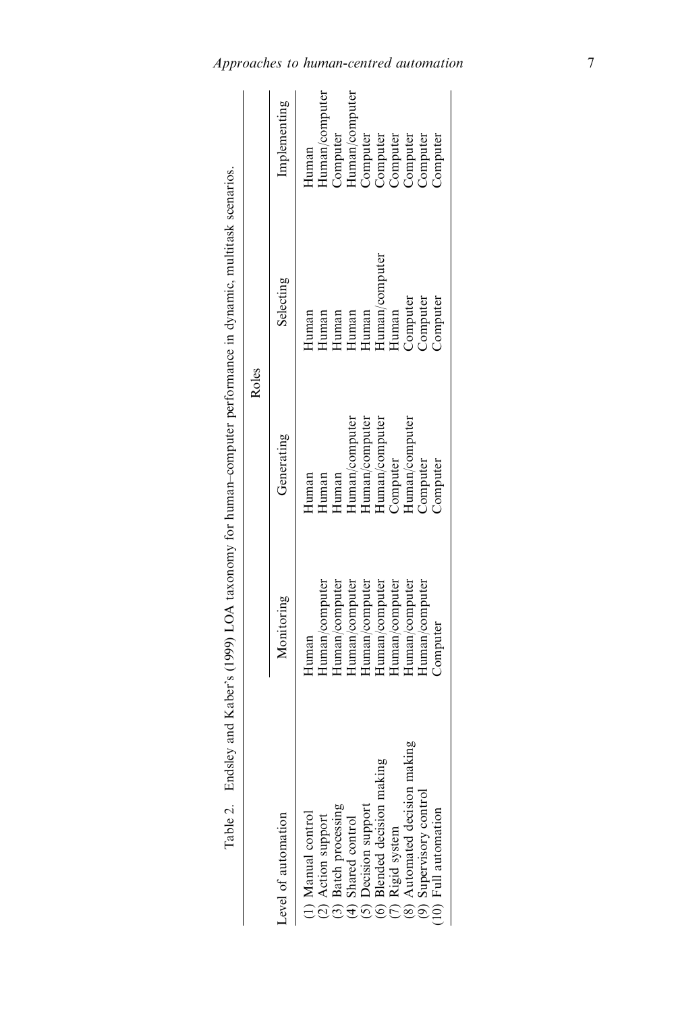| $1a$ Die 2. Endsley and                                                                                                                                                                                                         |                | . Kaper's (1999) LOA taxonomy for numan-computer performance in dynamic, multitask scenarios. |                                                                                                                                                                                            |                                        |
|---------------------------------------------------------------------------------------------------------------------------------------------------------------------------------------------------------------------------------|----------------|-----------------------------------------------------------------------------------------------|--------------------------------------------------------------------------------------------------------------------------------------------------------------------------------------------|----------------------------------------|
|                                                                                                                                                                                                                                 |                |                                                                                               | Roles                                                                                                                                                                                      |                                        |
| Level of automation                                                                                                                                                                                                             | Monitoring     | Generating                                                                                    | Selecting                                                                                                                                                                                  | Implementing                           |
| (1) Manual control                                                                                                                                                                                                              | Human          | Human                                                                                         | Human                                                                                                                                                                                      | Human                                  |
| Action support<br>$\frac{1}{2}$                                                                                                                                                                                                 | Human/computer | Human                                                                                         |                                                                                                                                                                                            |                                        |
|                                                                                                                                                                                                                                 | Iuman/computer | Human                                                                                         | Human<br>Human                                                                                                                                                                             | Human/computer<br>Computer             |
|                                                                                                                                                                                                                                 | Iuman/computer | Iuman/computer                                                                                |                                                                                                                                                                                            |                                        |
|                                                                                                                                                                                                                                 | Human/computer | Human/computer                                                                                |                                                                                                                                                                                            |                                        |
| Blended decision making<br>(3) Batch processing<br>(4) Shared control<br>(5) Decision support<br>(6) Blended decision mal<br>(7) Rigid system<br>(8) Automated decision 1<br>(8) Supervisory control<br>(9) Supervisory control | Human/computer | Human/computer                                                                                | $\begin{array}{l} {\rm Human}\\ {\rm Human}\\ {\rm Human}/ {\rm computer}\\ {\rm Human}\\ {\rm Comment}\\ {\rm Computer}\\ {\rm Computer}\\ {\rm Computer}\\ {\rm Computer}\\ \end{array}$ | Human/computer<br>Computer<br>Computer |
|                                                                                                                                                                                                                                 | Human/computer | Computer                                                                                      |                                                                                                                                                                                            |                                        |
| Rigid system<br>Automated decision making                                                                                                                                                                                       | Iuman/computer | Human/computer                                                                                |                                                                                                                                                                                            | Computer<br>Computer                   |
|                                                                                                                                                                                                                                 | Human/computer | Computer                                                                                      |                                                                                                                                                                                            | <b>Computer</b>                        |
| Full automation<br>(10)                                                                                                                                                                                                         | Computer       | Computer                                                                                      | <b>Computer</b>                                                                                                                                                                            | Computer                               |
|                                                                                                                                                                                                                                 |                |                                                                                               |                                                                                                                                                                                            |                                        |

Table 2. Endsley and Kaber's (1999) LOA taxonomy for human-computer performance in dynamic, multitask scenarios. Table 2. Endsley and Kaber's (1999) LOA taxonomy for human–computer performance in dynamic, multitask scenarios.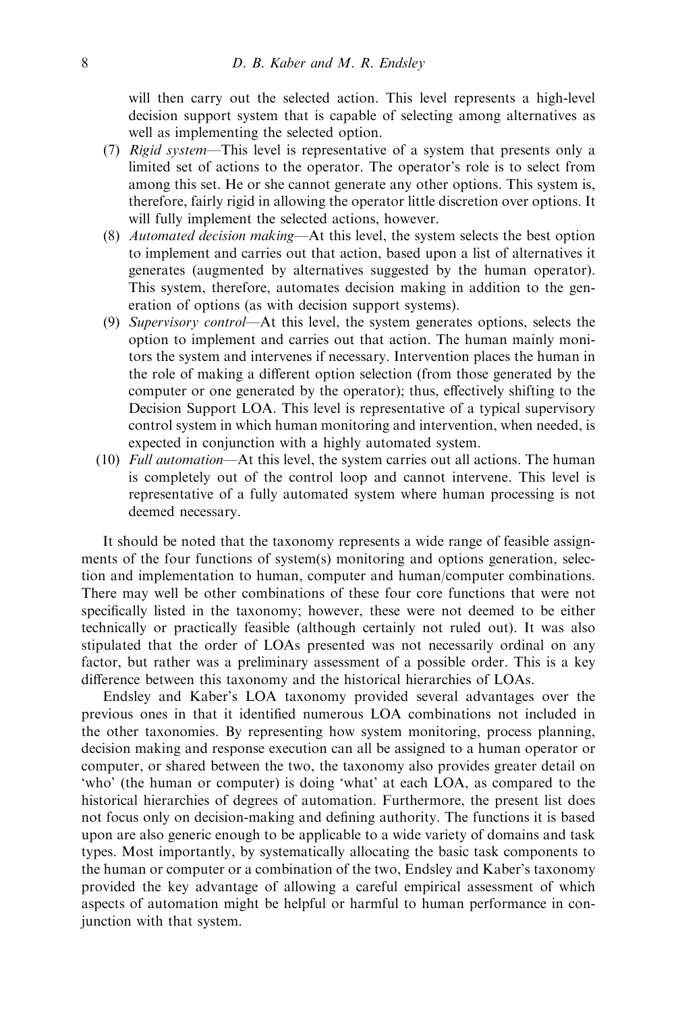will then carry out the selected action. This level represents a high-level decision support system that is capable of selecting among alternatives as well as implementing the selected option.

- (7) Rigid system—This level is representative of a system that presents only a limited set of actions to the operator. The operator's role is to select from among this set. He or she cannot generate any other options. This system is, therefore, fairly rigid in allowing the operator little discretion over options. It will fully implement the selected actions, however.
- (8) Automated decision making—At this level, the system selects the best option to implement and carries out that action, based upon a list of alternatives it generates (augmented by alternatives suggested by the human operator). This system, therefore, automates decision making in addition to the generation of options (as with decision support systems).
- (9) Supervisory control—At this level, the system generates options, selects the option to implement and carries out that action. The human mainly monitors the system and intervenes if necessary. Intervention places the human in the role of making a different option selection (from those generated by the computer or one generated by the operator); thus, effectively shifting to the Decision Support LOA. This level is representative of a typical supervisory control system in which human monitoring and intervention, when needed, is expected in conjunction with a highly automated system.
- (10) Full automation—At this level, the system carries out all actions. The human is completely out of the control loop and cannot intervene. This level is representative of a fully automated system where human processing is not deemed necessary.

It should be noted that the taxonomy represents a wide range of feasible assignments of the four functions of system(s) monitoring and options generation, selection and implementation to human, computer and human/computer combinations. There may well be other combinations of these four core functions that were not specifically listed in the taxonomy; however, these were not deemed to be either technically or practically feasible (although certainly not ruled out). It was also stipulated that the order of LOAs presented was not necessarily ordinal on any factor, but rather was a preliminary assessment of a possible order. This is a key difference between this taxonomy and the historical hierarchies of LOAs.

Endsley and Kaber's LOA taxonomy provided several advantages over the previous ones in that it identified numerous LOA combinations not included in the other taxonomies. By representing how system monitoring, process planning, decision making and response execution can all be assigned to a human operator or computer, or shared between the two, the taxonomy also provides greater detail on 'who' (the human or computer) is doing 'what' at each LOA, as compared to the historical hierarchies of degrees of automation. Furthermore, the present list does not focus only on decision-making and defining authority. The functions it is based upon are also generic enough to be applicable to a wide variety of domains and task types. Most importantly, by systematically allocating the basic task components to the human or computer or a combination of the two, Endsley and Kaber's taxonomy provided the key advantage of allowing a careful empirical assessment of which aspects of automation might be helpful or harmful to human performance in conjunction with that system.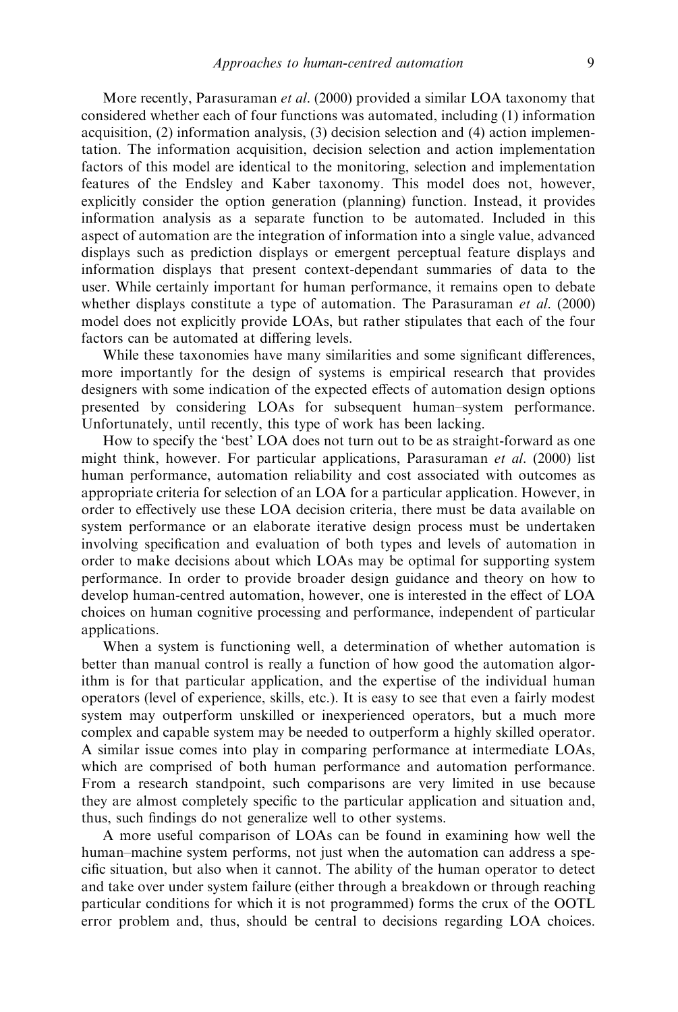More recently, Parasuraman et al. (2000) provided a similar LOA taxonomy that considered whether each of four functions was automated, including (1) information acquisition, (2) information analysis, (3) decision selection and (4) action implementation. The information acquisition, decision selection and action implementation factors of this model are identical to the monitoring, selection and implementation features of the Endsley and Kaber taxonomy. This model does not, however, explicitly consider the option generation (planning) function. Instead, it provides information analysis as a separate function to be automated. Included in this aspect of automation are the integration of information into a single value, advanced displays such as prediction displays or emergent perceptual feature displays and information displays that present context-dependant summaries of data to the user. While certainly important for human performance, it remains open to debate whether displays constitute a type of automation. The Parasuraman *et al.* (2000) model does not explicitly provide LOAs, but rather stipulates that each of the four factors can be automated at differing levels.

While these taxonomies have many similarities and some significant differences, more importantly for the design of systems is empirical research that provides designers with some indication of the expected effects of automation design options presented by considering LOAs for subsequent human–system performance. Unfortunately, until recently, this type of work has been lacking.

How to specify the 'best' LOA does not turn out to be as straight-forward as one might think, however. For particular applications, Parasuraman *et al.* (2000) list human performance, automation reliability and cost associated with outcomes as appropriate criteria for selection of an LOA for a particular application. However, in order to effectively use these LOA decision criteria, there must be data available on system performance or an elaborate iterative design process must be undertaken involving specification and evaluation of both types and levels of automation in order to make decisions about which LOAs may be optimal for supporting system performance. In order to provide broader design guidance and theory on how to develop human-centred automation, however, one is interested in the effect of LOA choices on human cognitive processing and performance, independent of particular applications.

When a system is functioning well, a determination of whether automation is better than manual control is really a function of how good the automation algorithm is for that particular application, and the expertise of the individual human operators (level of experience, skills, etc.). It is easy to see that even a fairly modest system may outperform unskilled or inexperienced operators, but a much more complex and capable system may be needed to outperform a highly skilled operator. A similar issue comes into play in comparing performance at intermediate LOAs, which are comprised of both human performance and automation performance. From a research standpoint, such comparisons are very limited in use because they are almost completely specific to the particular application and situation and, thus, such findings do not generalize well to other systems.

A more useful comparison of LOAs can be found in examining how well the human–machine system performs, not just when the automation can address a specific situation, but also when it cannot. The ability of the human operator to detect and take over under system failure (either through a breakdown or through reaching particular conditions for which it is not programmed) forms the crux of the OOTL error problem and, thus, should be central to decisions regarding LOA choices.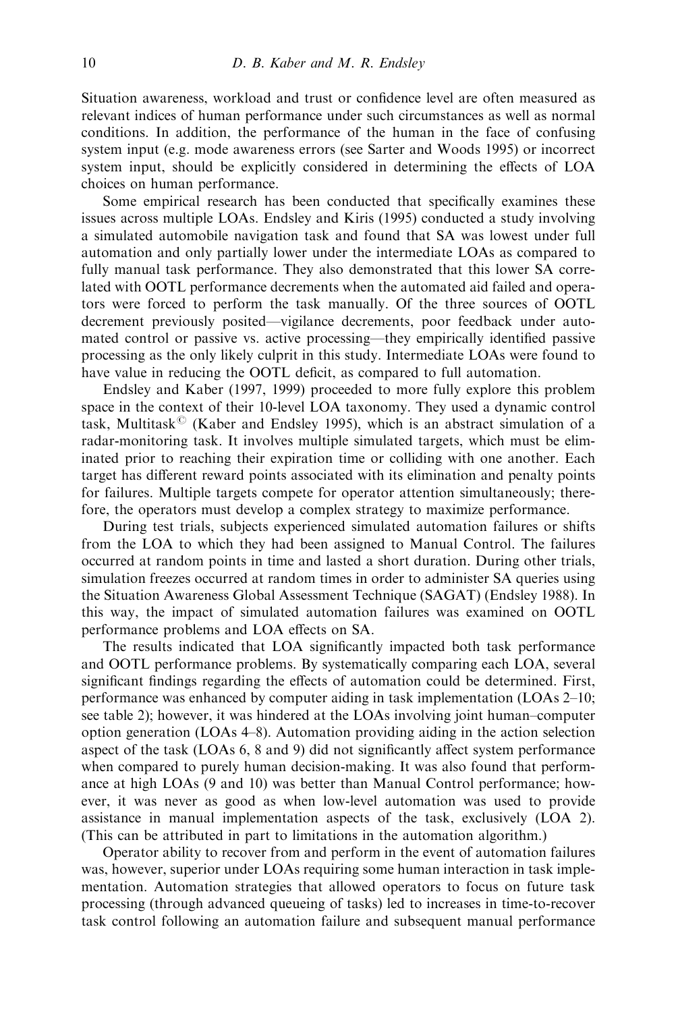Situation awareness, workload and trust or confidence level are often measured as relevant indices of human performance under such circumstances as well as normal conditions. In addition, the performance of the human in the face of confusing system input (e.g. mode awareness errors (see Sarter and Woods 1995) or incorrect system input, should be explicitly considered in determining the effects of LOA choices on human performance.

Some empirical research has been conducted that specifically examines these issues across multiple LOAs. Endsley and Kiris (1995) conducted a study involving a simulated automobile navigation task and found that SA was lowest under full automation and only partially lower under the intermediate LOAs as compared to fully manual task performance. They also demonstrated that this lower SA correlated with OOTL performance decrements when the automated aid failed and operators were forced to perform the task manually. Of the three sources of OOTL decrement previously posited—vigilance decrements, poor feedback under automated control or passive vs. active processing—they empirically identified passive processing as the only likely culprit in this study. Intermediate LOAs were found to have value in reducing the OOTL deficit, as compared to full automation.

Endsley and Kaber (1997, 1999) proceeded to more fully explore this problem space in the context of their 10-level LOA taxonomy. They used a dynamic control task, Multitask  $\mathbb O$  (Kaber and Endsley 1995), which is an abstract simulation of a radar-monitoring task. It involves multiple simulated targets, which must be eliminated prior to reaching their expiration time or colliding with one another. Each target has different reward points associated with its elimination and penalty points for failures. Multiple targets compete for operator attention simultaneously; therefore, the operators must develop a complex strategy to maximize performance.

During test trials, subjects experienced simulated automation failures or shifts from the LOA to which they had been assigned to Manual Control. The failures occurred at random points in time and lasted a short duration. During other trials, simulation freezes occurred at random times in order to administer SA queries using the Situation Awareness Global Assessment Technique (SAGAT) (Endsley 1988). In this way, the impact of simulated automation failures was examined on OOTL performance problems and LOA effects on SA.

The results indicated that LOA significantly impacted both task performance and OOTL performance problems. By systematically comparing each LOA, several significant findings regarding the effects of automation could be determined. First, performance was enhanced by computer aiding in task implementation (LOAs 2–10; see table 2); however, it was hindered at the LOAs involving joint human–computer option generation (LOAs 4–8). Automation providing aiding in the action selection aspect of the task (LOAs 6, 8 and 9) did not significantly affect system performance when compared to purely human decision-making. It was also found that performance at high LOAs (9 and 10) was better than Manual Control performance; however, it was never as good as when low-level automation was used to provide assistance in manual implementation aspects of the task, exclusively (LOA 2). (This can be attributed in part to limitations in the automation algorithm.)

Operator ability to recover from and perform in the event of automation failures was, however, superior under LOAs requiring some human interaction in task implementation. Automation strategies that allowed operators to focus on future task processing (through advanced queueing of tasks) led to increases in time-to-recover task control following an automation failure and subsequent manual performance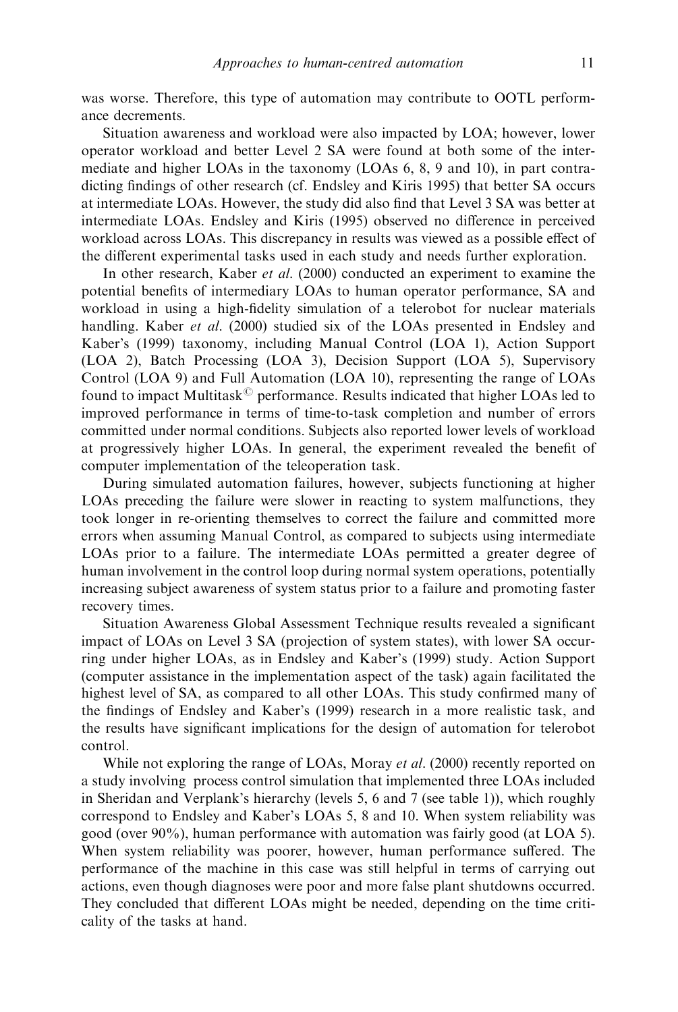was worse. Therefore, this type of automation may contribute to OOTL performance decrements.

Situation awareness and workload were also impacted by LOA; however, lower operator workload and better Level 2 SA were found at both some of the intermediate and higher LOAs in the taxonomy (LOAs 6, 8, 9 and 10), in part contradicting findings of other research (cf. Endsley and Kiris 1995) that better SA occurs at intermediate LOAs. However, the study did also find that Level 3 SA was better at intermediate LOAs. Endsley and Kiris (1995) observed no difference in perceived workload across LOAs. This discrepancy in results was viewed as a possible effect of the different experimental tasks used in each study and needs further exploration.

In other research, Kaber *et al.* (2000) conducted an experiment to examine the potential benefits of intermediary LOAs to human operator performance, SA and workload in using a high-fidelity simulation of a telerobot for nuclear materials handling. Kaber *et al.* (2000) studied six of the LOAs presented in Endsley and Kaber's (1999) taxonomy, including Manual Control (LOA 1), Action Support (LOA 2), Batch Processing (LOA 3), Decision Support (LOA 5), Supervisory Control (LOA 9) and Full Automation (LOA 10), representing the range of LOAs found to impact Multitask  $\mathcal{O}$  performance. Results indicated that higher LOAs led to improved performance in terms of time-to-task completion and number of errors committed under normal conditions. Subjects also reported lower levels of workload at progressively higher LOAs. In general, the experiment revealed the benefit of computer implementation of the teleoperation task.

During simulated automation failures, however, subjects functioning at higher LOAs preceding the failure were slower in reacting to system malfunctions, they took longer in re-orienting themselves to correct the failure and committed more errors when assuming Manual Control, as compared to subjects using intermediate LOAs prior to a failure. The intermediate LOAs permitted a greater degree of human involvement in the control loop during normal system operations, potentially increasing subject awareness of system status prior to a failure and promoting faster recovery times.

Situation Awareness Global Assessment Technique results revealed a significant impact of LOAs on Level 3 SA (projection of system states), with lower SA occurring under higher LOAs, as in Endsley and Kaber's (1999) study. Action Support (computer assistance in the implementation aspect of the task) again facilitated the highest level of SA, as compared to all other LOAs. This study confirmed many of the findings of Endsley and Kaber's (1999) research in a more realistic task, and the results have significant implications for the design of automation for telerobot control.

While not exploring the range of LOAs, Moray *et al.* (2000) recently reported on a study involving process control simulation that implemented three LOAs included in Sheridan and Verplank's hierarchy (levels 5, 6 and 7 (see table 1)), which roughly correspond to Endsley and Kaber's LOAs 5, 8 and 10. When system reliability was good (over 90%), human performance with automation was fairly good (at LOA 5). When system reliability was poorer, however, human performance suffered. The performance of the machine in this case was still helpful in terms of carrying out actions, even though diagnoses were poor and more false plant shutdowns occurred. They concluded that different LOAs might be needed, depending on the time criticality of the tasks at hand.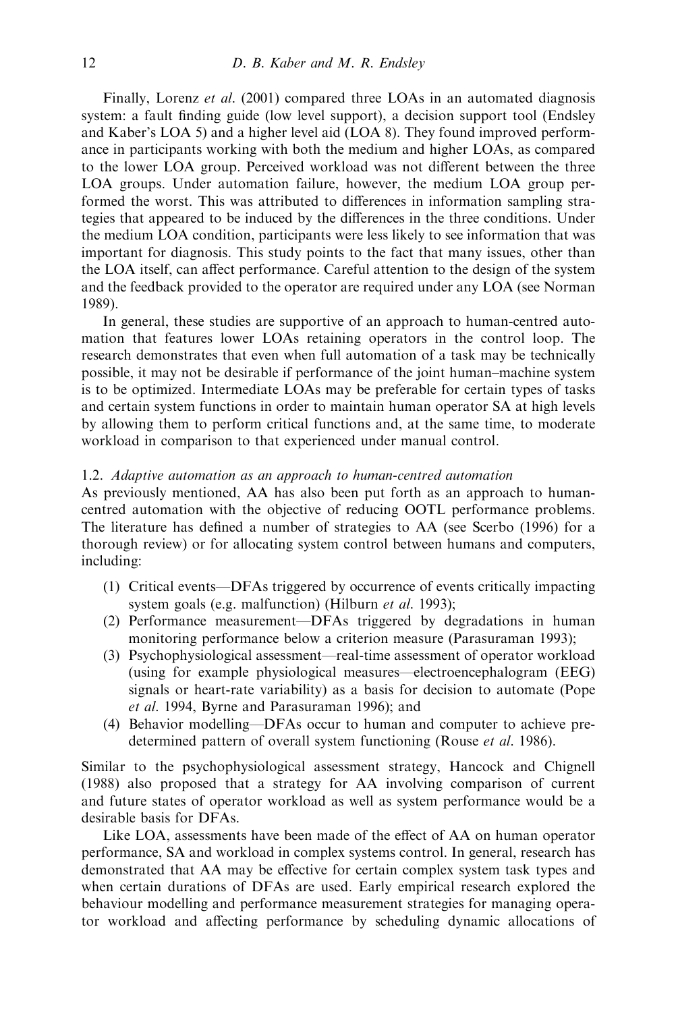Finally, Lorenz *et al.* (2001) compared three LOAs in an automated diagnosis system: a fault finding guide (low level support), a decision support tool (Endsley and Kaber's LOA 5) and a higher level aid (LOA 8). They found improved performance in participants working with both the medium and higher LOAs, as compared to the lower LOA group. Perceived workload was not different between the three LOA groups. Under automation failure, however, the medium LOA group performed the worst. This was attributed to differences in information sampling strategies that appeared to be induced by the differences in the three conditions. Under the medium LOA condition, participants were less likely to see information that was important for diagnosis. This study points to the fact that many issues, other than the LOA itself, can affect performance. Careful attention to the design of the system and the feedback provided to the operator are required under any LOA (see Norman 1989).

In general, these studies are supportive of an approach to human-centred automation that features lower LOAs retaining operators in the control loop. The research demonstrates that even when full automation of a task may be technically possible, it may not be desirable if performance of the joint human–machine system is to be optimized. Intermediate LOAs may be preferable for certain types of tasks and certain system functions in order to maintain human operator SA at high levels by allowing them to perform critical functions and, at the same time, to moderate workload in comparison to that experienced under manual control.

#### 1.2. Adaptive automation as an approach to human-centred automation

As previously mentioned, AA has also been put forth as an approach to humancentred automation with the objective of reducing OOTL performance problems. The literature has defined a number of strategies to AA (see Scerbo (1996) for a thorough review) or for allocating system control between humans and computers, including:

- (1) Critical events—DFAs triggered by occurrence of events critically impacting system goals (e.g. malfunction) (Hilburn et al. 1993);
- (2) Performance measurement—DFAs triggered by degradations in human monitoring performance below a criterion measure (Parasuraman 1993);
- (3) Psychophysiological assessment—real-time assessment of operator workload (using for example physiological measures—electroencephalogram (EEG) signals or heart-rate variability) as a basis for decision to automate (Pope et al. 1994, Byrne and Parasuraman 1996); and
- (4) Behavior modelling—DFAs occur to human and computer to achieve predetermined pattern of overall system functioning (Rouse *et al.* 1986).

Similar to the psychophysiological assessment strategy, Hancock and Chignell (1988) also proposed that a strategy for AA involving comparison of current and future states of operator workload as well as system performance would be a desirable basis for DFAs.

Like LOA, assessments have been made of the effect of AA on human operator performance, SA and workload in complex systems control. In general, research has demonstrated that AA may be effective for certain complex system task types and when certain durations of DFAs are used. Early empirical research explored the behaviour modelling and performance measurement strategies for managing operator workload and affecting performance by scheduling dynamic allocations of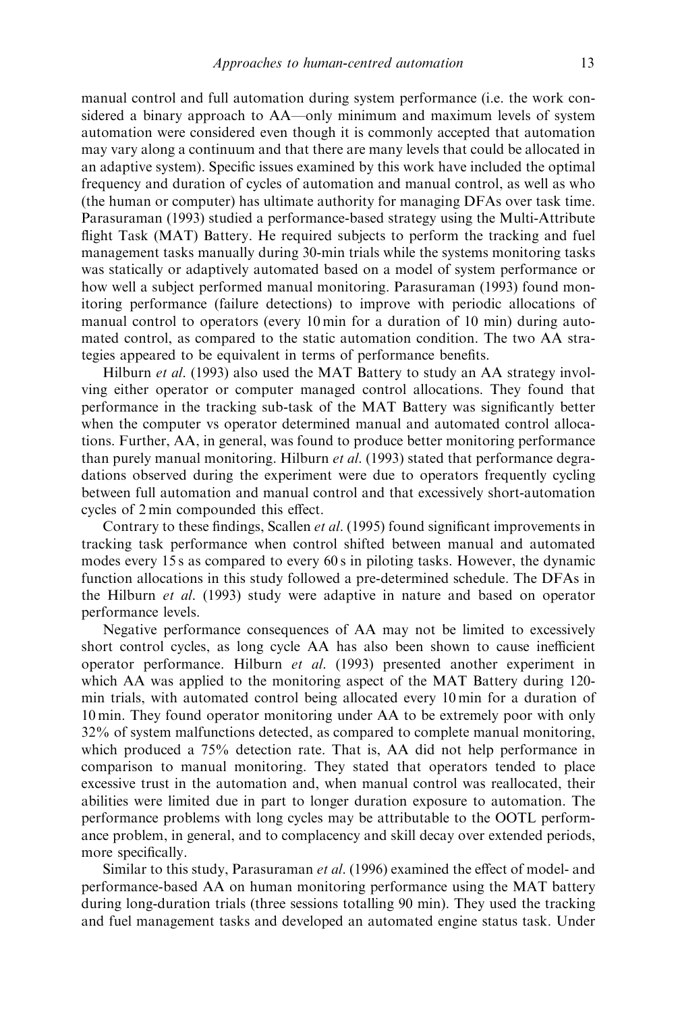manual control and full automation during system performance (i.e. the work considered a binary approach to AA—only minimum and maximum levels of system automation were considered even though it is commonly accepted that automation may vary along a continuum and that there are many levels that could be allocated in an adaptive system). Specific issues examined by this work have included the optimal frequency and duration of cycles of automation and manual control, as well as who (the human or computer) has ultimate authority for managing DFAs over task time. Parasuraman (1993) studied a performance-based strategy using the Multi-Attribute flight Task (MAT) Battery. He required subjects to perform the tracking and fuel management tasks manually during 30-min trials while the systems monitoring tasks was statically or adaptively automated based on a model of system performance or how well a subject performed manual monitoring. Parasuraman (1993) found monitoring performance (failure detections) to improve with periodic allocations of manual control to operators (every 10 min for a duration of 10 min) during automated control, as compared to the static automation condition. The two AA strategies appeared to be equivalent in terms of performance benefits.

Hilburn et al. (1993) also used the MAT Battery to study an AA strategy involving either operator or computer managed control allocations. They found that performance in the tracking sub-task of the MAT Battery was significantly better when the computer vs operator determined manual and automated control allocations. Further, AA, in general, was found to produce better monitoring performance than purely manual monitoring. Hilburn *et al.* (1993) stated that performance degradations observed during the experiment were due to operators frequently cycling between full automation and manual control and that excessively short-automation cycles of 2 min compounded this effect.

Contrary to these findings, Scallen et al. (1995) found significant improvements in tracking task performance when control shifted between manual and automated modes every 15s as compared to every 60 s in piloting tasks. However, the dynamic function allocations in this study followed a pre-determined schedule. The DFAs in the Hilburn et al. (1993) study were adaptive in nature and based on operator performance levels.

Negative performance consequences of AA may not be limited to excessively short control cycles, as long cycle AA has also been shown to cause inefficient operator performance. Hilburn et al. (1993) presented another experiment in which AA was applied to the monitoring aspect of the MAT Battery during 120 min trials, with automated control being allocated every 10 min for a duration of 10 min. They found operator monitoring under AA to be extremely poor with only 32% of system malfunctions detected, as compared to complete manual monitoring, which produced a 75% detection rate. That is, AA did not help performance in comparison to manual monitoring. They stated that operators tended to place excessive trust in the automation and, when manual control was reallocated, their abilities were limited due in part to longer duration exposure to automation. The performance problems with long cycles may be attributable to the OOTL performance problem, in general, and to complacency and skill decay over extended periods, more specifically.

Similar to this study, Parasuraman et al. (1996) examined the effect of model- and performance-based AA on human monitoring performance using the MAT battery during long-duration trials (three sessions totalling 90 min). They used the tracking and fuel management tasks and developed an automated engine status task. Under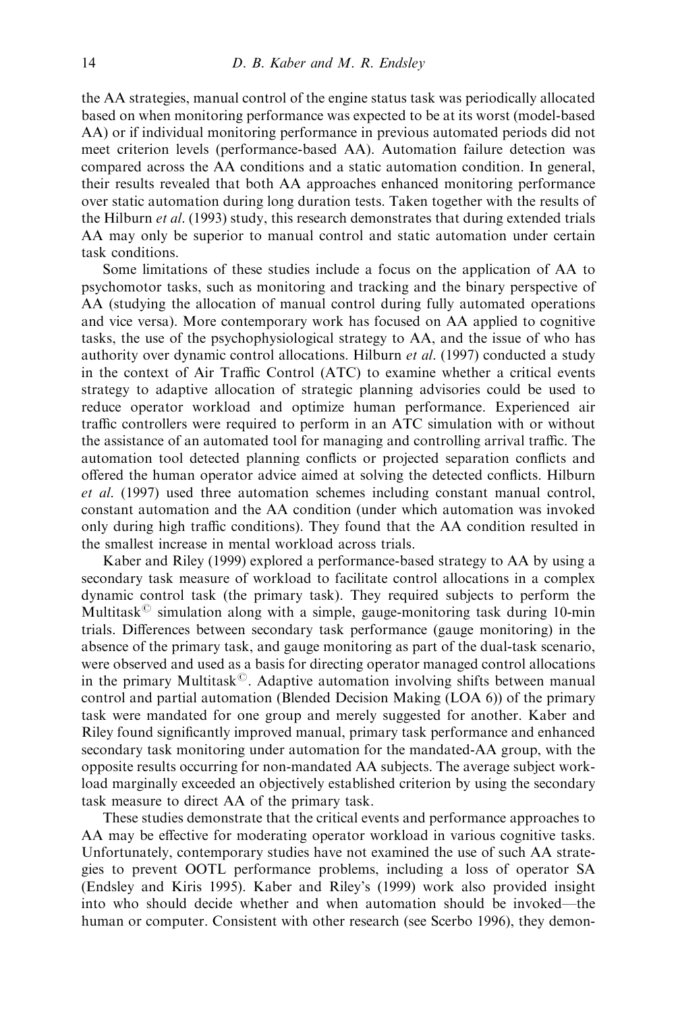the AA strategies, manual control of the engine status task was periodically allocated based on when monitoring performance was expected to be at its worst (model-based AA) or if individual monitoring performance in previous automated periods did not meet criterion levels (performance-based AA). Automation failure detection was compared across the AA conditions and a static automation condition. In general, their results revealed that both AA approaches enhanced monitoring performance over static automation during long duration tests. Taken together with the results of the Hilburn *et al.* (1993) study, this research demonstrates that during extended trials AA may only be superior to manual control and static automation under certain task conditions.

Some limitations of these studies include a focus on the application of AA to psychomotor tasks, such as monitoring and tracking and the binary perspective of AA (studying the allocation of manual control during fully automated operations and vice versa). More contemporary work has focused on AA applied to cognitive tasks, the use of the psychophysiological strategy to AA, and the issue of who has authority over dynamic control allocations. Hilburn *et al.* (1997) conducted a study in the context of Air Traffic Control (ATC) to examine whether a critical events strategy to adaptive allocation of strategic planning advisories could be used to reduce operator workload and optimize human performance. Experienced air traffic controllers were required to perform in an ATC simulation with or without the assistance of an automated tool for managing and controlling arrival traffic. The automation tool detected planning conflicts or projected separation conflicts and offered the human operator advice aimed at solving the detected conflicts. Hilburn et al. (1997) used three automation schemes including constant manual control, constant automation and the AA condition (under which automation was invoked only during high traffic conditions). They found that the AA condition resulted in the smallest increase in mental workload across trials.

Kaber and Riley (1999) explored a performance-based strategy to AA by using a secondary task measure of workload to facilitate control allocations in a complex dynamic control task (the primary task). They required subjects to perform the Multitask  $\mathbb{S}$  simulation along with a simple, gauge-monitoring task during 10-min trials. Differences between secondary task performance (gauge monitoring) in the absence of the primary task, and gauge monitoring as part of the dual-task scenario, were observed and used as a basis for directing operator managed control allocations in the primary Multitask  $\mathbb{C}$ . Adaptive automation involving shifts between manual control and partial automation (Blended Decision Making (LOA 6)) of the primary task were mandated for one group and merely suggested for another. Kaber and Riley found significantly improved manual, primary task performance and enhanced secondary task monitoring under automation for the mandated-AA group, with the opposite results occurring for non-mandated AA subjects. The average subject workload marginally exceeded an objectively established criterion by using the secondary task measure to direct AA of the primary task.

These studies demonstrate that the critical events and performance approaches to AA may be effective for moderating operator workload in various cognitive tasks. Unfortunately, contemporary studies have not examined the use of such AA strategies to prevent OOTL performance problems, including a loss of operator SA (Endsley and Kiris 1995). Kaber and Riley's (1999) work also provided insight into who should decide whether and when automation should be invoked—the human or computer. Consistent with other research (see Scerbo 1996), they demon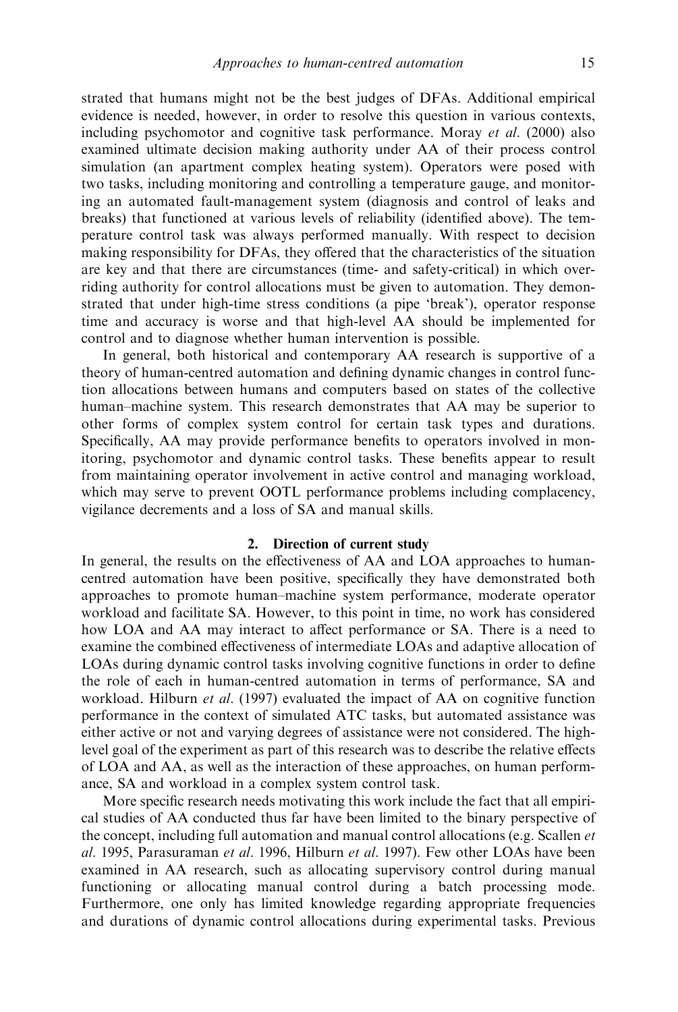strated that humans might not be the best judges of DFAs. Additional empirical evidence is needed, however, in order to resolve this question in various contexts, including psychomotor and cognitive task performance. Moray *et al.* (2000) also examined ultimate decision making authority under AA of their process control simulation (an apartment complex heating system). Operators were posed with two tasks, including monitoring and controlling a temperature gauge, and monitoring an automated fault-management system (diagnosis and control of leaks and breaks) that functioned at various levels of reliability (identified above). The temperature control task was always performed manually. With respect to decision making responsibility for DFAs, they offered that the characteristics of the situation are key and that there are circumstances (time- and safety-critical) in which overriding authority for control allocations must be given to automation. They demonstrated that under high-time stress conditions (a pipe 'break'), operator response time and accuracy is worse and that high-level AA should be implemented for control and to diagnose whether human intervention is possible.

In general, both historical and contemporary AA research is supportive of a theory of human-centred automation and defining dynamic changes in control function allocations between humans and computers based on states of the collective human–machine system. This research demonstrates that AA may be superior to other forms of complex system control for certain task types and durations. Specifically, AA may provide performance benefits to operators involved in monitoring, psychomotor and dynamic control tasks. These benefits appear to result from maintaining operator involvement in active control and managing workload, which may serve to prevent OOTL performance problems including complacency, vigilance decrements and a loss of SA and manual skills.

# 2. Direction of current study

In general, the results on the effectiveness of AA and LOA approaches to humancentred automation have been positive, specifically they have demonstrated both approaches to promote human–machine system performance, moderate operator workload and facilitate SA. However, to this point in time, no work has considered how LOA and AA may interact to affect performance or SA. There is a need to examine the combined effectiveness of intermediate LOAs and adaptive allocation of LOAs during dynamic control tasks involving cognitive functions in order to define the role of each in human-centred automation in terms of performance, SA and workload. Hilburn *et al.* (1997) evaluated the impact of AA on cognitive function performance in the context of simulated ATC tasks, but automated assistance was either active or not and varying degrees of assistance were not considered. The highlevel goal of the experiment as part of this research was to describe the relative effects of LOA and AA, as well as the interaction of these approaches, on human performance, SA and workload in a complex system control task.

More specific research needs motivating this work include the fact that all empirical studies of AA conducted thus far have been limited to the binary perspective of the concept, including full automation and manual control allocations (e.g. Scallen  $et$ al. 1995, Parasuraman et al. 1996, Hilburn et al. 1997). Few other LOAs have been examined in AA research, such as allocating supervisory control during manual functioning or allocating manual control during a batch processing mode. Furthermore, one only has limited knowledge regarding appropriate frequencies and durations of dynamic control allocations during experimental tasks. Previous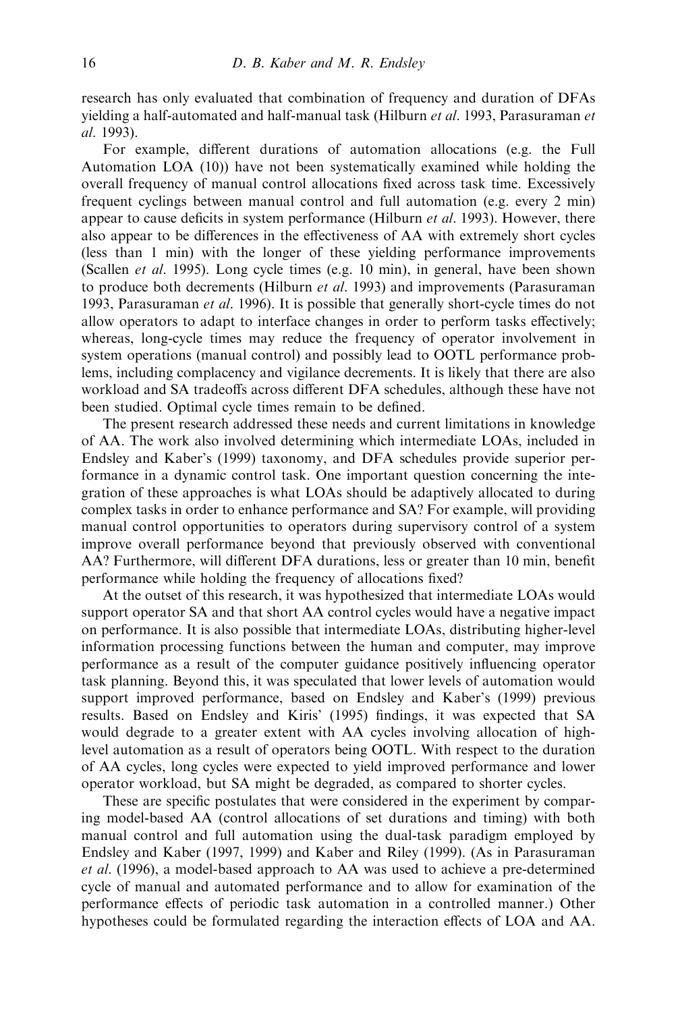research has only evaluated that combination of frequency and duration of DFAs yielding a half-automated and half-manual task (Hilburn et al. 1993, Parasuraman et al. 1993).

For example, different durations of automation allocations (e.g. the Full Automation LOA (10)) have not been systematically examined while holding the overall frequency of manual control allocations fixed across task time. Excessively frequent cyclings between manual control and full automation (e.g. every 2 min) appear to cause deficits in system performance (Hilburn *et al.* 1993). However, there also appear to be differences in the effectiveness of AA with extremely short cycles (less than 1 min) with the longer of these yielding performance improvements (Scallen *et al.* 1995). Long cycle times (e.g. 10 min), in general, have been shown to produce both decrements (Hilburn *et al.* 1993) and improvements (Parasuraman 1993, Parasuraman *et al.* 1996). It is possible that generally short-cycle times do not allow operators to adapt to interface changes in order to perform tasks effectively; whereas, long-cycle times may reduce the frequency of operator involvement in system operations (manual control) and possibly lead to OOTL performance problems, including complacency and vigilance decrements. It is likely that there are also workload and SA tradeoffs across different DFA schedules, although these have not been studied. Optimal cycle times remain to be defined.

The present research addressed these needs and current limitations in knowledge of AA. The work also involved determining which intermediate LOAs, included in Endsley and Kaber's (1999) taxonomy, and DFA schedules provide superior performance in a dynamic control task. One important question concerning the integration of these approaches is what LOAs should be adaptively allocated to during complex tasks in order to enhance performance and SA? For example, will providing manual control opportunities to operators during supervisory control of a system improve overall performance beyond that previously observed with conventional AA? Furthermore, will different DFA durations, less or greater than 10 min, benefit performance while holding the frequency of allocations fixed?

At the outset of this research, it was hypothesized that intermediate LOAs would support operator SA and that short AA control cycles would have a negative impact on performance. It is also possible that intermediate LOAs, distributing higher-level information processing functions between the human and computer, may improve performance as a result of the computer guidance positively influencing operator task planning. Beyond this, it was speculated that lower levels of automation would support improved performance, based on Endsley and Kaber's (1999) previous results. Based on Endsley and Kiris' (1995) findings, it was expected that SA would degrade to a greater extent with AA cycles involving allocation of highlevel automation as a result of operators being OOTL. With respect to the duration of AA cycles, long cycles were expected to yield improved performance and lower operator workload, but SA might be degraded, as compared to shorter cycles.

These are specific postulates that were considered in the experiment by comparing model-based AA (control allocations of set durations and timing) with both manual control and full automation using the dual-task paradigm employed by Endsley and Kaber (1997, 1999) and Kaber and Riley (1999). (As in Parasuraman et al. (1996), a model-based approach to AA was used to achieve a pre-determined cycle of manual and automated performance and to allow for examination of the performance effects of periodic task automation in a controlled manner.) Other hypotheses could be formulated regarding the interaction effects of LOA and AA.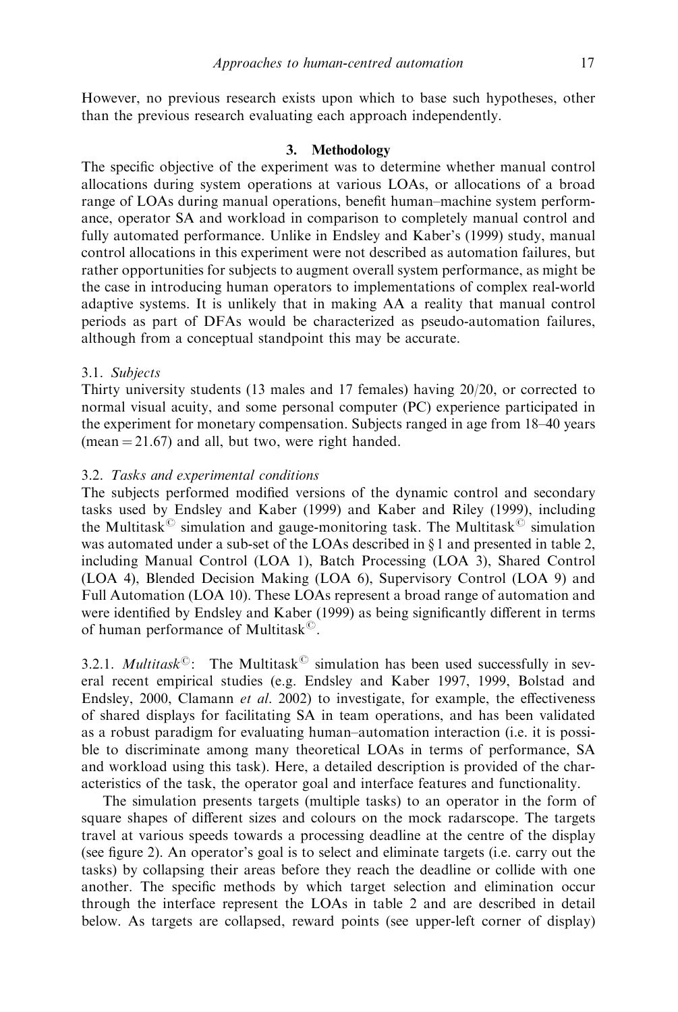However, no previous research exists upon which to base such hypotheses, other than the previous research evaluating each approach independently.

## 3. Methodology

The specific objective of the experiment was to determine whether manual control allocations during system operations at various LOAs, or allocations of a broad range of LOAs during manual operations, benefit human–machine system performance, operator SA and workload in comparison to completely manual control and fully automated performance. Unlike in Endsley and Kaber's (1999) study, manual control allocations in this experiment were not described as automation failures, but rather opportunities for subjects to augment overall system performance, as might be the case in introducing human operators to implementations of complex real-world adaptive systems. It is unlikely that in making AA a reality that manual control periods as part of DFAs would be characterized as pseudo-automation failures, although from a conceptual standpoint this may be accurate.

#### 3.1. Subjects

Thirty university students (13 males and 17 females) having 20/20, or corrected to normal visual acuity, and some personal computer (PC) experience participated in the experiment for monetary compensation. Subjects ranged in age from 18–40 years  $(mean = 21.67)$  and all, but two, were right handed.

## 3.2. Tasks and experimental conditions

The subjects performed modified versions of the dynamic control and secondary tasks used by Endsley and Kaber (1999) and Kaber and Riley (1999), including the Multitask  $\mathbb O$  simulation and gauge-monitoring task. The Multitask  $\mathbb O$  simulation was automated under a sub-set of the LOAs described in  $\S 1$  and presented in table 2, including Manual Control (LOA 1), Batch Processing (LOA 3), Shared Control (LOA 4), Blended Decision Making (LOA 6), Supervisory Control (LOA 9) and Full Automation (LOA 10). These LOAs represent a broad range of automation and were identified by Endsley and Kaber (1999) as being significantly different in terms of human performance of Multitask $\mathcal{C}$ .

3.2.1. *Multitask*<sup>©</sup>: The Multitask<sup>©</sup> simulation has been used successfully in several recent empirical studies (e.g. Endsley and Kaber 1997, 1999, Bolstad and Endsley, 2000, Clamann *et al.* 2002) to investigate, for example, the effectiveness of shared displays for facilitating SA in team operations, and has been validated as a robust paradigm for evaluating human–automation interaction (i.e. it is possible to discriminate among many theoretical LOAs in terms of performance, SA and workload using this task). Here, a detailed description is provided of the characteristics of the task, the operator goal and interface features and functionality.

The simulation presents targets (multiple tasks) to an operator in the form of square shapes of different sizes and colours on the mock radarscope. The targets travel at various speeds towards a processing deadline at the centre of the display (see figure 2). An operator's goal is to select and eliminate targets (i.e. carry out the tasks) by collapsing their areas before they reach the deadline or collide with one another. The specific methods by which target selection and elimination occur through the interface represent the LOAs in table 2 and are described in detail below. As targets are collapsed, reward points (see upper-left corner of display)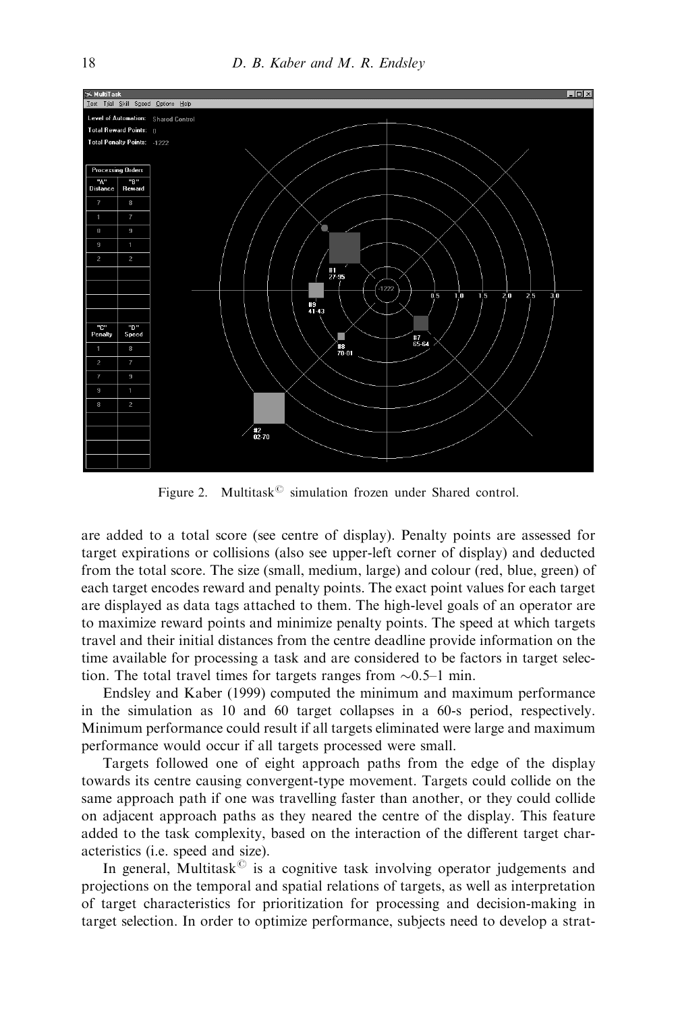

Figure 2. Multitask $\mathcal{O}$  simulation frozen under Shared control.

are added to a total score (see centre of display). Penalty points are assessed for target expirations or collisions (also see upper-left corner of display) and deducted from the total score. The size (small, medium, large) and colour (red, blue, green) of each target encodes reward and penalty points. The exact point values for each target are displayed as data tags attached to them. The high-level goals of an operator are to maximize reward points and minimize penalty points. The speed at which targets travel and their initial distances from the centre deadline provide information on the time available for processing a task and are considered to be factors in target selection. The total travel times for targets ranges from  $\sim 0.5$ –1 min.

Endsley and Kaber (1999) computed the minimum and maximum performance in the simulation as 10 and 60 target collapses in a 60-s period, respectively. Minimum performance could result if all targets eliminated were large and maximum performance would occur if all targets processed were small.

Targets followed one of eight approach paths from the edge of the display towards its centre causing convergent-type movement. Targets could collide on the same approach path if one was travelling faster than another, or they could collide on adjacent approach paths as they neared the centre of the display. This feature added to the task complexity, based on the interaction of the different target characteristics (i.e. speed and size).

In general, Multitask  $\mathbb O$  is a cognitive task involving operator judgements and projections on the temporal and spatial relations of targets, as well as interpretation of target characteristics for prioritization for processing and decision-making in target selection. In order to optimize performance, subjects need to develop a strat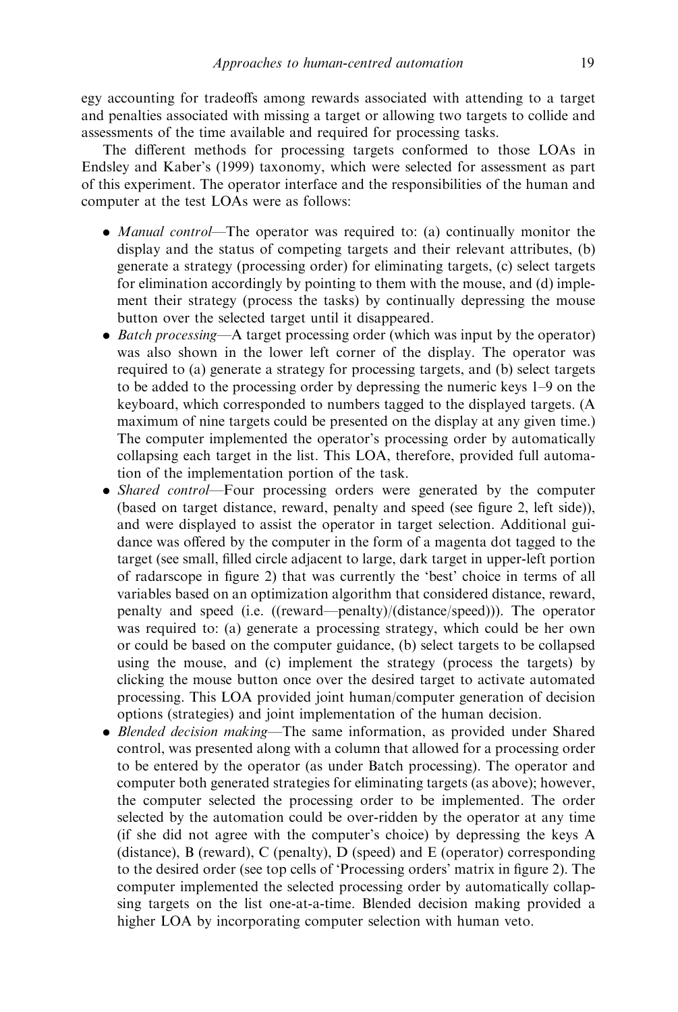egy accounting for tradeoffs among rewards associated with attending to a target and penalties associated with missing a target or allowing two targets to collide and assessments of the time available and required for processing tasks.

The different methods for processing targets conformed to those LOAs in Endsley and Kaber's (1999) taxonomy, which were selected for assessment as part of this experiment. The operator interface and the responsibilities of the human and computer at the test LOAs were as follows:

- Manual control—The operator was required to: (a) continually monitor the display and the status of competing targets and their relevant attributes, (b) generate a strategy (processing order) for eliminating targets, (c) select targets for elimination accordingly by pointing to them with the mouse, and (d) implement their strategy (process the tasks) by continually depressing the mouse button over the selected target until it disappeared.
- $\bullet$  *Batch processing*—A target processing order (which was input by the operator) was also shown in the lower left corner of the display. The operator was required to (a) generate a strategy for processing targets, and (b) select targets to be added to the processing order by depressing the numeric keys 1–9 on the keyboard, which corresponded to numbers tagged to the displayed targets. (A maximum of nine targets could be presented on the display at any given time.) The computer implemented the operator's processing order by automatically collapsing each target in the list. This LOA, therefore, provided full automation of the implementation portion of the task.
- . Shared control—Four processing orders were generated by the computer (based on target distance, reward, penalty and speed (see figure 2, left side)), and were displayed to assist the operator in target selection. Additional guidance was offered by the computer in the form of a magenta dot tagged to the target (see small, filled circle adjacent to large, dark target in upper-left portion of radarscope in figure 2) that was currently the 'best' choice in terms of all variables based on an optimization algorithm that considered distance, reward, penalty and speed (i.e. ((reward—penalty)/(distance/speed))). The operator was required to: (a) generate a processing strategy, which could be her own or could be based on the computer guidance, (b) select targets to be collapsed using the mouse, and (c) implement the strategy (process the targets) by clicking the mouse button once over the desired target to activate automated processing. This LOA provided joint human/computer generation of decision options (strategies) and joint implementation of the human decision.
- . Blended decision making—The same information, as provided under Shared control, was presented along with a column that allowed for a processing order to be entered by the operator (as under Batch processing). The operator and computer both generated strategies for eliminating targets (as above); however, the computer selected the processing order to be implemented. The order selected by the automation could be over-ridden by the operator at any time (if she did not agree with the computer's choice) by depressing the keys A (distance), B (reward), C (penalty), D (speed) and E (operator) corresponding to the desired order (see top cells of 'Processing orders' matrix in figure 2). The computer implemented the selected processing order by automatically collapsing targets on the list one-at-a-time. Blended decision making provided a higher LOA by incorporating computer selection with human veto.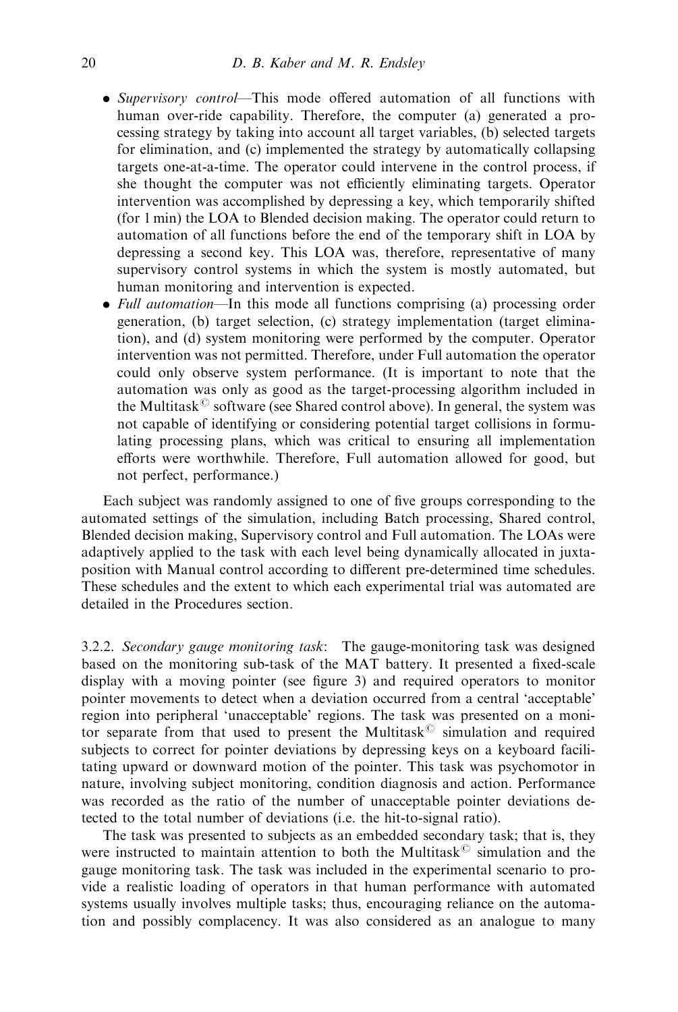- . Supervisory control—This mode offered automation of all functions with human over-ride capability. Therefore, the computer (a) generated a processing strategy by taking into account all target variables, (b) selected targets for elimination, and (c) implemented the strategy by automatically collapsing targets one-at-a-time. The operator could intervene in the control process, if she thought the computer was not efficiently eliminating targets. Operator intervention was accomplished by depressing a key, which temporarily shifted (for 1 min) the LOA to Blended decision making. The operator could return to automation of all functions before the end of the temporary shift in LOA by depressing a second key. This LOA was, therefore, representative of many supervisory control systems in which the system is mostly automated, but human monitoring and intervention is expected.
- . Full automation—In this mode all functions comprising (a) processing order generation, (b) target selection, (c) strategy implementation (target elimination), and (d) system monitoring were performed by the computer. Operator intervention was not permitted. Therefore, under Full automation the operator could only observe system performance. (It is important to note that the automation was only as good as the target-processing algorithm included in the Multitask  $\mathbb O$  software (see Shared control above). In general, the system was not capable of identifying or considering potential target collisions in formulating processing plans, which was critical to ensuring all implementation efforts were worthwhile. Therefore, Full automation allowed for good, but not perfect, performance.)

Each subject was randomly assigned to one of five groups corresponding to the automated settings of the simulation, including Batch processing, Shared control, Blended decision making, Supervisory control and Full automation. The LOAs were adaptively applied to the task with each level being dynamically allocated in juxtaposition with Manual control according to different pre-determined time schedules. These schedules and the extent to which each experimental trial was automated are detailed in the Procedures section.

3.2.2. Secondary gauge monitoring task: The gauge-monitoring task was designed based on the monitoring sub-task of the MAT battery. It presented a fixed-scale display with a moving pointer (see figure 3) and required operators to monitor pointer movements to detect when a deviation occurred from a central 'acceptable' region into peripheral 'unacceptable' regions. The task was presented on a monitor separate from that used to present the Multitask $\mathbb O$  simulation and required subjects to correct for pointer deviations by depressing keys on a keyboard facilitating upward or downward motion of the pointer. This task was psychomotor in nature, involving subject monitoring, condition diagnosis and action. Performance was recorded as the ratio of the number of unacceptable pointer deviations detected to the total number of deviations (i.e. the hit-to-signal ratio).

The task was presented to subjects as an embedded secondary task; that is, they were instructed to maintain attention to both the Multitask  $\circ$  simulation and the gauge monitoring task. The task was included in the experimental scenario to provide a realistic loading of operators in that human performance with automated systems usually involves multiple tasks; thus, encouraging reliance on the automation and possibly complacency. It was also considered as an analogue to many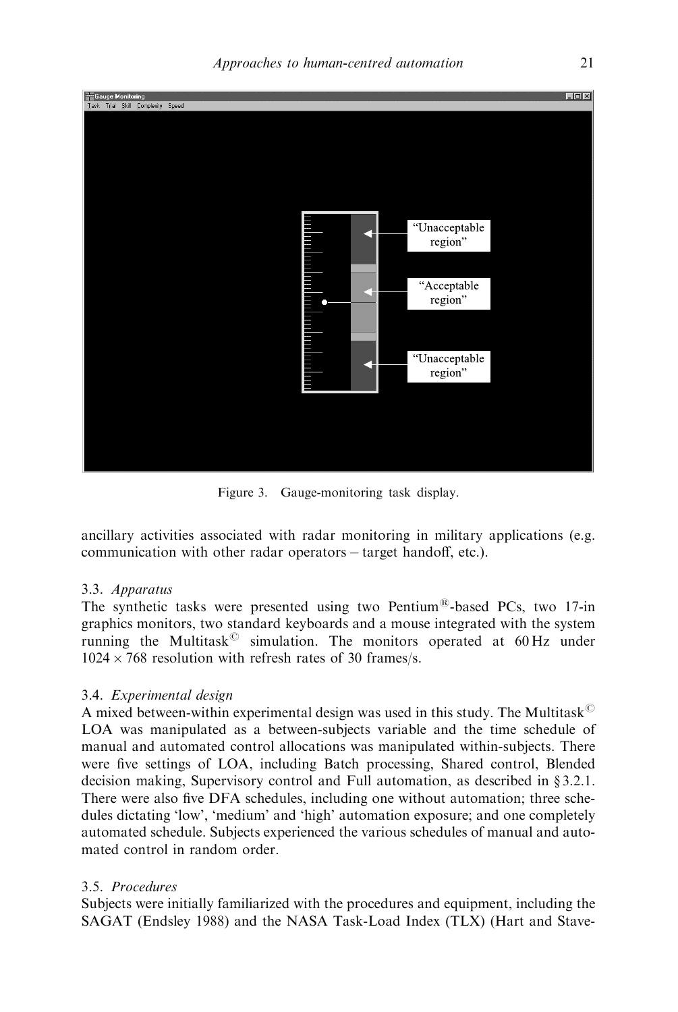

Figure 3. Gauge-monitoring task display.

ancillary activities associated with radar monitoring in military applications (e.g. communication with other radar operators – target handoff, etc.).

# 3.3. Apparatus

The synthetic tasks were presented using two Pentium<sup>®</sup>-based PCs, two 17-in graphics monitors, two standard keyboards and a mouse integrated with the system running the Multitask<sup> $\circ$ </sup> simulation. The monitors operated at 60 Hz under  $1024 \times 768$  resolution with refresh rates of 30 frames/s.

# 3.4. Experimental design

A mixed between-within experimental design was used in this study. The Multitask  $\circledcirc$ LOA was manipulated as a between-subjects variable and the time schedule of manual and automated control allocations was manipulated within-subjects. There were five settings of LOA, including Batch processing, Shared control, Blended decision making, Supervisory control and Full automation, as described in §3.2.1. There were also five DFA schedules, including one without automation; three schedules dictating 'low', 'medium' and 'high' automation exposure; and one completely automated schedule. Subjects experienced the various schedules of manual and automated control in random order.

# 3.5. Procedures

Subjects were initially familiarized with the procedures and equipment, including the SAGAT (Endsley 1988) and the NASA Task-Load Index (TLX) (Hart and Stave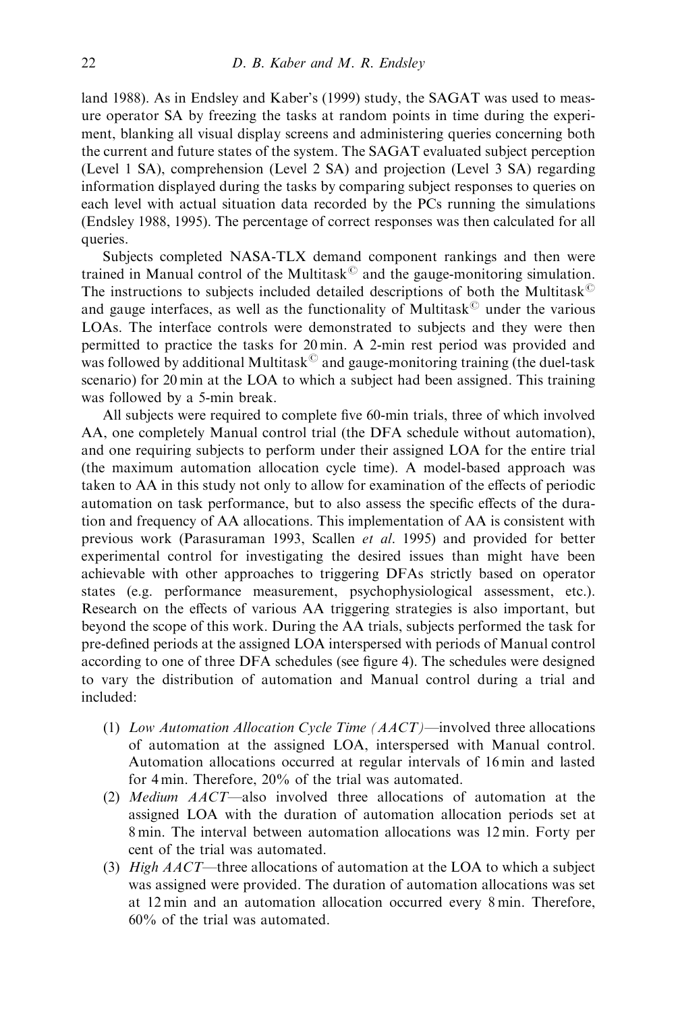land 1988). As in Endsley and Kaber's (1999) study, the SAGAT was used to measure operator SA by freezing the tasks at random points in time during the experiment, blanking all visual display screens and administering queries concerning both the current and future states of the system. The SAGAT evaluated subject perception (Level 1 SA), comprehension (Level 2 SA) and projection (Level 3 SA) regarding information displayed during the tasks by comparing subject responses to queries on each level with actual situation data recorded by the PCs running the simulations (Endsley 1988, 1995). The percentage of correct responses was then calculated for all queries.

Subjects completed NASA-TLX demand component rankings and then were trained in Manual control of the Multitask  $\mathcal O$  and the gauge-monitoring simulation. The instructions to subjects included detailed descriptions of both the Multitask $\mathbb{C}$ and gauge interfaces, as well as the functionality of Multitask  $\mathcal O$  under the various LOAs. The interface controls were demonstrated to subjects and they were then permitted to practice the tasks for 20 min. A 2-min rest period was provided and was followed by additional Multitask  $\mathcal{O}$  and gauge-monitoring training (the duel-task scenario) for 20 min at the LOA to which a subject had been assigned. This training was followed by a 5-min break.

All subjects were required to complete five 60-min trials, three of which involved AA, one completely Manual control trial (the DFA schedule without automation), and one requiring subjects to perform under their assigned LOA for the entire trial (the maximum automation allocation cycle time). A model-based approach was taken to AA in this study not only to allow for examination of the effects of periodic automation on task performance, but to also assess the specific effects of the duration and frequency of AA allocations. This implementation of AA is consistent with previous work (Parasuraman 1993, Scallen et al. 1995) and provided for better experimental control for investigating the desired issues than might have been achievable with other approaches to triggering DFAs strictly based on operator states (e.g. performance measurement, psychophysiological assessment, etc.). Research on the effects of various AA triggering strategies is also important, but beyond the scope of this work. During the AA trials, subjects performed the task for pre-defined periods at the assigned LOA interspersed with periods of Manual control according to one of three DFA schedules (see figure 4). The schedules were designed to vary the distribution of automation and Manual control during a trial and included:

- (1) Low Automation Allocation Cycle Time  $(AACT)$ —involved three allocations of automation at the assigned LOA, interspersed with Manual control. Automation allocations occurred at regular intervals of 16 min and lasted for 4 min. Therefore, 20% of the trial was automated.
- (2) Medium AACT—also involved three allocations of automation at the assigned LOA with the duration of automation allocation periods set at 8 min. The interval between automation allocations was 12 min. Forty per cent of the trial was automated.
- (3) High  $AACT$ —three allocations of automation at the LOA to which a subject was assigned were provided. The duration of automation allocations was set at 12 min and an automation allocation occurred every 8 min. Therefore, 60% of the trial was automated.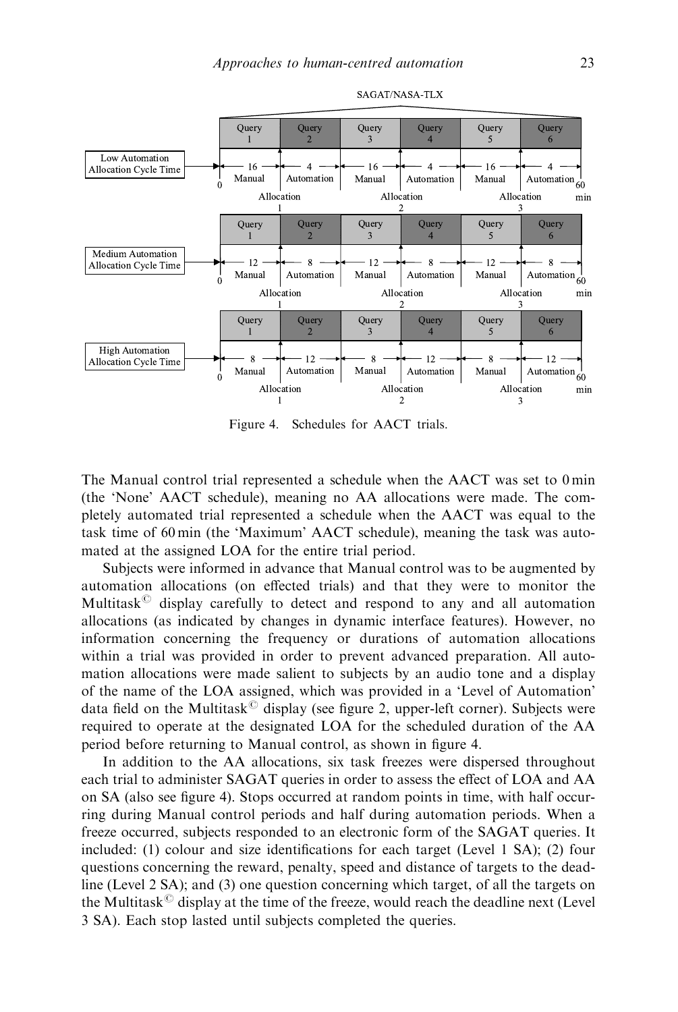

SAGAT/NASA-TLX

Figure 4. Schedules for AACT trials.

The Manual control trial represented a schedule when the AACT was set to 0 min (the 'None' AACT schedule), meaning no AA allocations were made. The completely automated trial represented a schedule when the AACT was equal to the task time of 60 min (the 'Maximum' AACT schedule), meaning the task was automated at the assigned LOA for the entire trial period.

Subjects were informed in advance that Manual control was to be augmented by automation allocations (on effected trials) and that they were to monitor the Multitask display carefully to detect and respond to any and all automation allocations (as indicated by changes in dynamic interface features). However, no information concerning the frequency or durations of automation allocations within a trial was provided in order to prevent advanced preparation. All automation allocations were made salient to subjects by an audio tone and a display of the name of the LOA assigned, which was provided in a 'Level of Automation' data field on the Multitask<sup> $\odot$ </sup> display (see figure 2, upper-left corner). Subjects were required to operate at the designated LOA for the scheduled duration of the AA period before returning to Manual control, as shown in figure 4.

In addition to the AA allocations, six task freezes were dispersed throughout each trial to administer SAGAT queries in order to assess the effect of LOA and AA on SA (also see figure 4). Stops occurred at random points in time, with half occurring during Manual control periods and half during automation periods. When a freeze occurred, subjects responded to an electronic form of the SAGAT queries. It included: (1) colour and size identifications for each target (Level 1 SA); (2) four questions concerning the reward, penalty, speed and distance of targets to the deadline (Level 2 SA); and (3) one question concerning which target, of all the targets on the Multitask  $\circ$  display at the time of the freeze, would reach the deadline next (Level 3 SA). Each stop lasted until subjects completed the queries.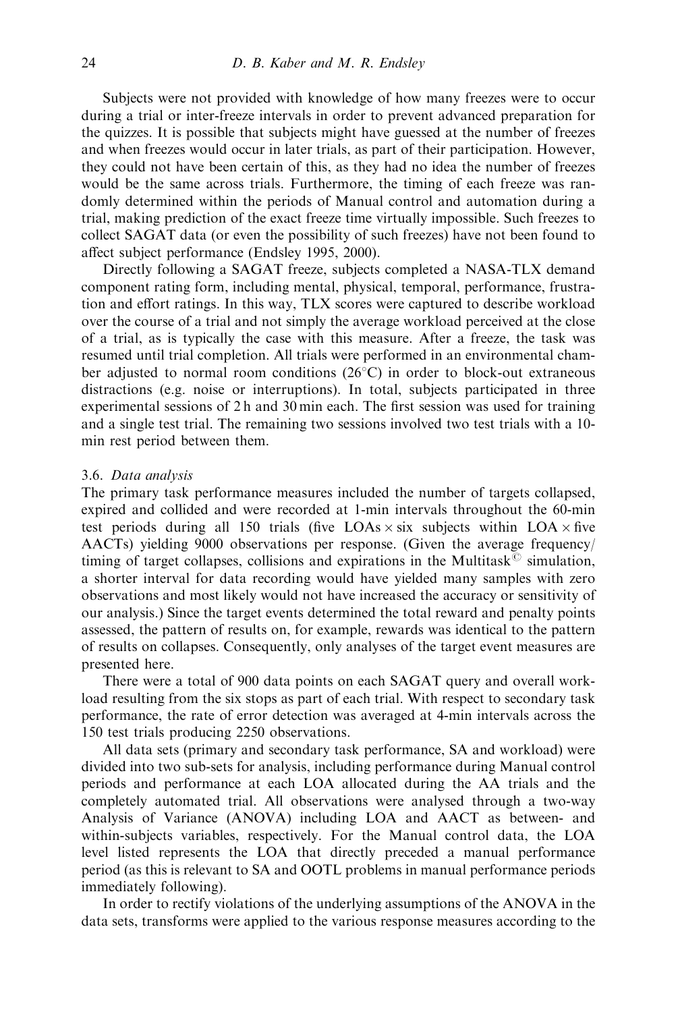Subjects were not provided with knowledge of how many freezes were to occur during a trial or inter-freeze intervals in order to prevent advanced preparation for the quizzes. It is possible that subjects might have guessed at the number of freezes and when freezes would occur in later trials, as part of their participation. However, they could not have been certain of this, as they had no idea the number of freezes would be the same across trials. Furthermore, the timing of each freeze was randomly determined within the periods of Manual control and automation during a trial, making prediction of the exact freeze time virtually impossible. Such freezes to collect SAGAT data (or even the possibility of such freezes) have not been found to affect subject performance (Endsley 1995, 2000).

Directly following a SAGAT freeze, subjects completed a NASA-TLX demand component rating form, including mental, physical, temporal, performance, frustration and effort ratings. In this way, TLX scores were captured to describe workload over the course of a trial and not simply the average workload perceived at the close of a trial, as is typically the case with this measure. After a freeze, the task was resumed until trial completion. All trials were performed in an environmental chamber adjusted to normal room conditions  $(26^{\circ}C)$  in order to block-out extraneous distractions (e.g. noise or interruptions). In total, subjects participated in three experimental sessions of 2 h and 30 min each. The first session was used for training and a single test trial. The remaining two sessions involved two test trials with a 10 min rest period between them.

#### 3.6. Data analysis

The primary task performance measures included the number of targets collapsed, expired and collided and were recorded at 1-min intervals throughout the 60-min test periods during all 150 trials (five LOAs  $\times$  six subjects within LOA  $\times$  five AACTs) yielding 9000 observations per response. (Given the average frequency/ timing of target collapses, collisions and expirations in the Multitask  $\circ$  simulation, a shorter interval for data recording would have yielded many samples with zero observations and most likely would not have increased the accuracy or sensitivity of our analysis.) Since the target events determined the total reward and penalty points assessed, the pattern of results on, for example, rewards was identical to the pattern of results on collapses. Consequently, only analyses of the target event measures are presented here.

There were a total of 900 data points on each SAGAT query and overall workload resulting from the six stops as part of each trial. With respect to secondary task performance, the rate of error detection was averaged at 4-min intervals across the 150 test trials producing 2250 observations.

All data sets (primary and secondary task performance, SA and workload) were divided into two sub-sets for analysis, including performance during Manual control periods and performance at each LOA allocated during the AA trials and the completely automated trial. All observations were analysed through a two-way Analysis of Variance (ANOVA) including LOA and AACT as between- and within-subjects variables, respectively. For the Manual control data, the LOA level listed represents the LOA that directly preceded a manual performance period (as this is relevant to SA and OOTL problems in manual performance periods immediately following).

In order to rectify violations of the underlying assumptions of the ANOVA in the data sets, transforms were applied to the various response measures according to the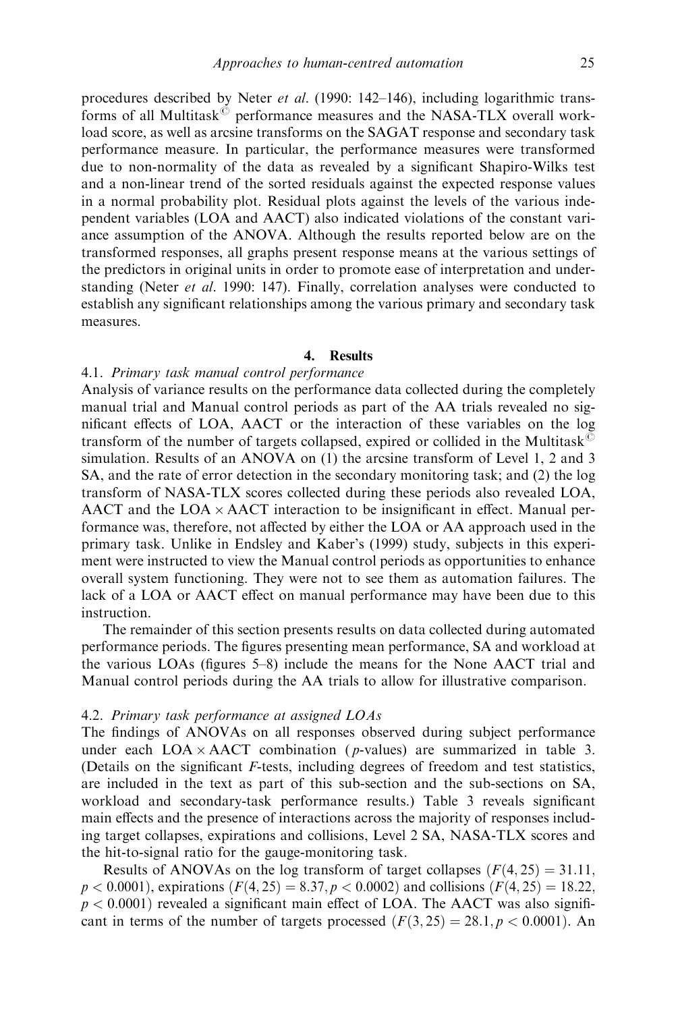procedures described by Neter *et al.* (1990: 142–146), including logarithmic transforms of all Multitask  $\mathbb O$  performance measures and the NASA-TLX overall workload score, as well as arcsine transforms on the SAGAT response and secondary task performance measure. In particular, the performance measures were transformed due to non-normality of the data as revealed by a significant Shapiro-Wilks test and a non-linear trend of the sorted residuals against the expected response values in a normal probability plot. Residual plots against the levels of the various independent variables (LOA and AACT) also indicated violations of the constant variance assumption of the ANOVA. Although the results reported below are on the transformed responses, all graphs present response means at the various settings of the predictors in original units in order to promote ease of interpretation and understanding (Neter *et al.* 1990: 147). Finally, correlation analyses were conducted to establish any significant relationships among the various primary and secondary task measures.

#### 4. Results

# 4.1. Primary task manual control performance

Analysis of variance results on the performance data collected during the completely manual trial and Manual control periods as part of the AA trials revealed no significant effects of LOA, AACT or the interaction of these variables on the log transform of the number of targets collapsed, expired or collided in the Multitask  $\mathbb{C}$ simulation. Results of an ANOVA on (1) the arcsine transform of Level 1, 2 and 3 SA, and the rate of error detection in the secondary monitoring task; and (2) the log transform of NASA-TLX scores collected during these periods also revealed LOA, AACT and the  $LOA \times AACT$  interaction to be insignificant in effect. Manual performance was, therefore, not affected by either the LOA or AA approach used in the primary task. Unlike in Endsley and Kaber's (1999) study, subjects in this experiment were instructed to view the Manual control periods as opportunities to enhance overall system functioning. They were not to see them as automation failures. The lack of a LOA or AACT effect on manual performance may have been due to this instruction.

The remainder of this section presents results on data collected during automated performance periods. The figures presenting mean performance, SA and workload at the various LOAs (figures 5–8) include the means for the None AACT trial and Manual control periods during the AA trials to allow for illustrative comparison.

## 4.2. Primary task performance at assigned LOAs

The findings of ANOVAs on all responses observed during subject performance under each  $LOA \times AACT$  combination (*p*-values) are summarized in table 3. (Details on the significant F-tests, including degrees of freedom and test statistics, are included in the text as part of this sub-section and the sub-sections on SA, workload and secondary-task performance results.) Table 3 reveals significant main effects and the presence of interactions across the majority of responses including target collapses, expirations and collisions, Level 2 SA, NASA-TLX scores and the hit-to-signal ratio for the gauge-monitoring task.

Results of ANOVAs on the log transform of target collapses  $(F(4, 25) = 31.11$ ;  $p < 0.0001$ , expirations  $(F(4, 25) = 8.37, p < 0.0002)$  and collisions  $(F(4, 25) = 18.22,$  $p < 0.0001$ ) revealed a significant main effect of LOA. The AACT was also significant in terms of the number of targets processed  $(F(3, 25) = 28.1, p < 0.0001)$ . An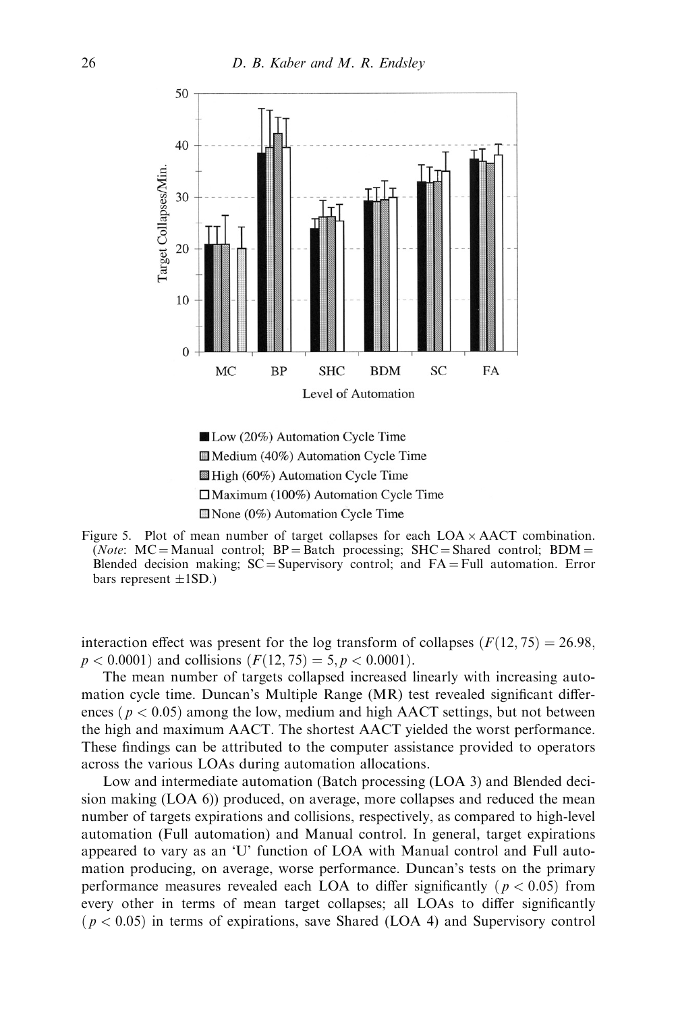



Figure 5. Plot of mean number of target collapses for each  $LOA \times AACT$  combination. (*Note*: MC = Manual control; BP = Batch processing; SHC = Shared control; BDM = Blended decision making;  $SC =$  Supervisory control; and  $FA =$  Full automation. Error bars represent  $\pm$ 1SD.)

interaction effect was present for the log transform of collapses  $(F(12, 75) = 26.98$ ,  $p < 0.0001$ ) and collisions  $(F(12, 75) = 5, p < 0.0001)$ .

The mean number of targets collapsed increased linearly with increasing automation cycle time. Duncan's Multiple Range (MR) test revealed significant differences ( $p < 0.05$ ) among the low, medium and high AACT settings, but not between the high and maximum AACT. The shortest AACT yielded the worst performance. These findings can be attributed to the computer assistance provided to operators across the various LOAs during automation allocations.

Low and intermediate automation (Batch processing (LOA 3) and Blended decision making (LOA 6)) produced, on average, more collapses and reduced the mean number of targets expirations and collisions, respectively, as compared to high-level automation (Full automation) and Manual control. In general, target expirations appeared to vary as an 'U' function of LOA with Manual control and Full automation producing, on average, worse performance. Duncan's tests on the primary performance measures revealed each LOA to differ significantly ( $p < 0.05$ ) from every other in terms of mean target collapses; all LOAs to differ significantly  $(p < 0.05)$  in terms of expirations, save Shared (LOA 4) and Supervisory control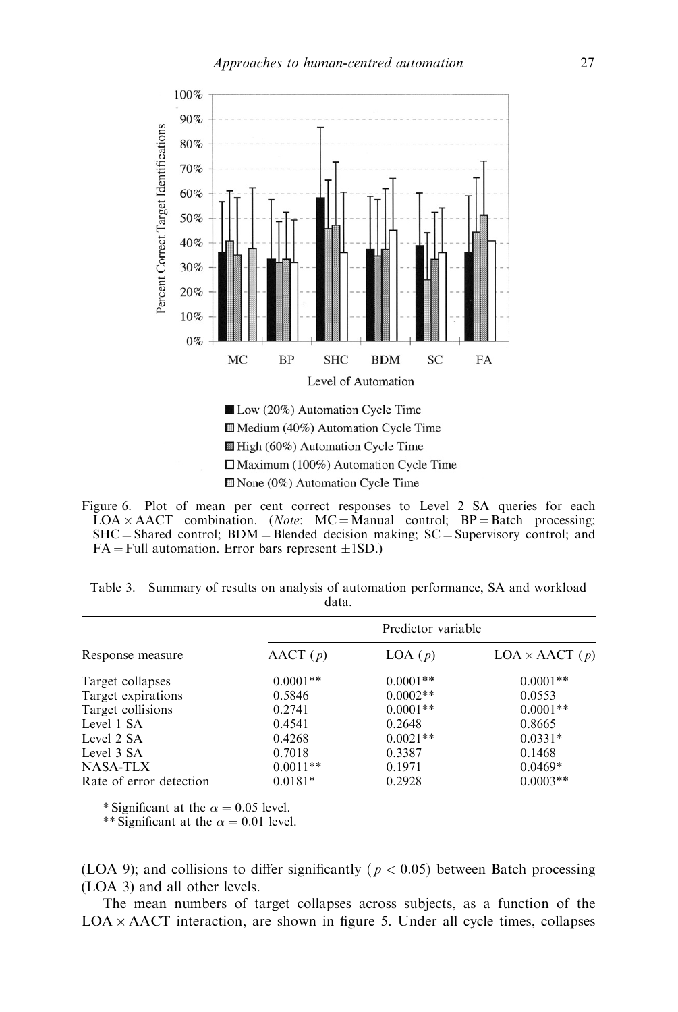

- None (0%) Automation Cycle Time
- Figure 6. Plot of mean per cent correct responses to Level 2 SA queries for each  $LOA \times AACT$  combination. (Note: MC = Manual control; BP = Batch processing;  $SHC = Shared$  control;  $BDM = Blended$  decision making;  $SC = Supervisory$  control; and  $FA = Full$  automation. Error bars represent  $\pm$ 1SD.)

| uaia.                   |                    |            |                      |  |  |  |
|-------------------------|--------------------|------------|----------------------|--|--|--|
| Response measure        | Predictor variable |            |                      |  |  |  |
|                         | AACT $(p)$         | LOA(p)     | $LOA \times AACT(p)$ |  |  |  |
| Target collapses        | $0.0001**$         | $0.0001**$ | $0.0001**$           |  |  |  |
| Target expirations      | 0.5846             | $0.0002**$ | 0.0553               |  |  |  |
| Target collisions       | 0.2741             | $0.0001**$ | $0.0001**$           |  |  |  |
| Level 1 SA              | 0.4541             | 0.2648     | 0.8665               |  |  |  |
| Level 2 SA              | 0.4268             | $0.0021**$ | $0.0331*$            |  |  |  |
| Level 3 SA              | 0.7018             | 0.3387     | 0.1468               |  |  |  |
| NASA-TLX                | $0.0011**$         | 0.1971     | $0.0469*$            |  |  |  |
| Rate of error detection | $0.0181*$          | 0.2928     | $0.0003**$           |  |  |  |

Table 3. Summary of results on analysis of automation performance, SA and workload data.

\* Significant at the  $\alpha = 0.05$  level.

\*\* Significant at the  $\alpha = 0.01$  level.

(LOA 9); and collisions to differ significantly ( $p < 0.05$ ) between Batch processing (LOA 3) and all other levels.

The mean numbers of target collapses across subjects, as a function of the  $LOA \times AACT$  interaction, are shown in figure 5. Under all cycle times, collapses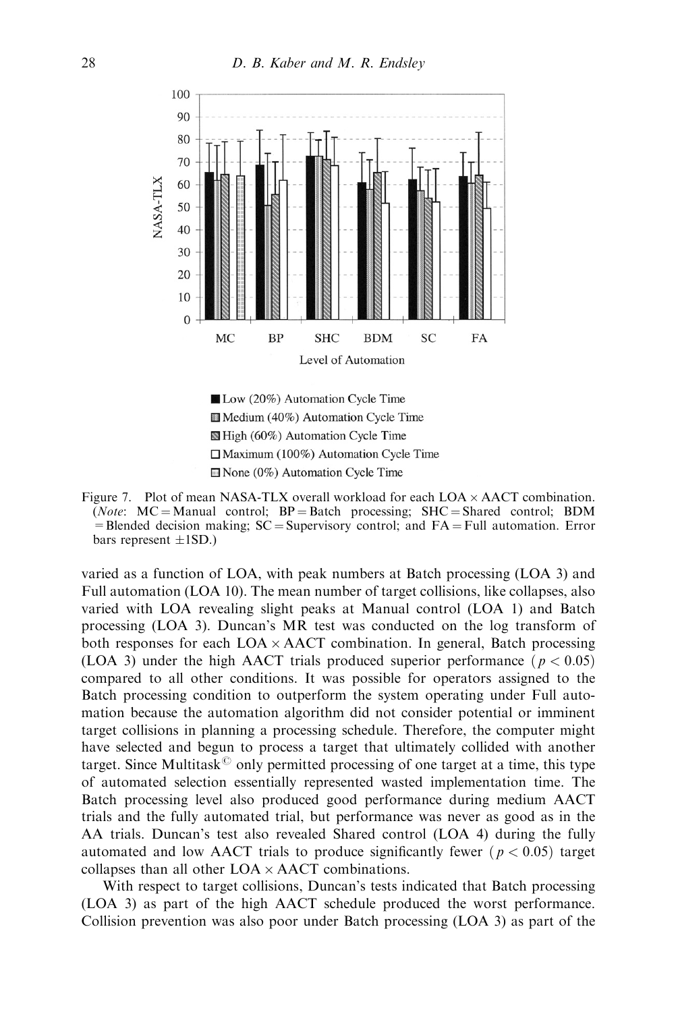

Low (20%) Automation Cycle Time Medium (40%) Automation Cycle Time High (60%) Automation Cycle Time  $\Box$  Maximum (100%) Automation Cycle Time  $\Box$  None (0%) Automation Cycle Time

Figure 7. Plot of mean NASA-TLX overall workload for each  $LOA \times$  AACT combination. (Note:  $MC = Manual$  control;  $BP = Batch$  processing;  $SHC = Shared$  control; BDM =Blended decision making;  $SC =$  Supervisory control; and  $FA =$  Full automation. Error bars represent  $\pm$ 1SD.)

varied as a function of LOA, with peak numbers at Batch processing (LOA 3) and Full automation (LOA 10). The mean number of target collisions, like collapses, also varied with LOA revealing slight peaks at Manual control (LOA 1) and Batch processing (LOA 3). Duncan's MR test was conducted on the log transform of both responses for each  $LOA \times AACT$  combination. In general, Batch processing (LOA 3) under the high AACT trials produced superior performance  $p < 0.05$ ) compared to all other conditions. It was possible for operators assigned to the Batch processing condition to outperform the system operating under Full automation because the automation algorithm did not consider potential or imminent target collisions in planning a processing schedule. Therefore, the computer might have selected and begun to process a target that ultimately collided with another target. Since Multitask  $\circ$  only permitted processing of one target at a time, this type of automated selection essentially represented wasted implementation time. The Batch processing level also produced good performance during medium AACT trials and the fully automated trial, but performance was never as good as in the AA trials. Duncan's test also revealed Shared control (LOA 4) during the fully automated and low AACT trials to produce significantly fewer  $(p < 0.05)$  target collapses than all other  $LOA \times AACT$  combinations.

With respect to target collisions, Duncan's tests indicated that Batch processing (LOA 3) as part of the high AACT schedule produced the worst performance. Collision prevention was also poor under Batch processing (LOA 3) as part of the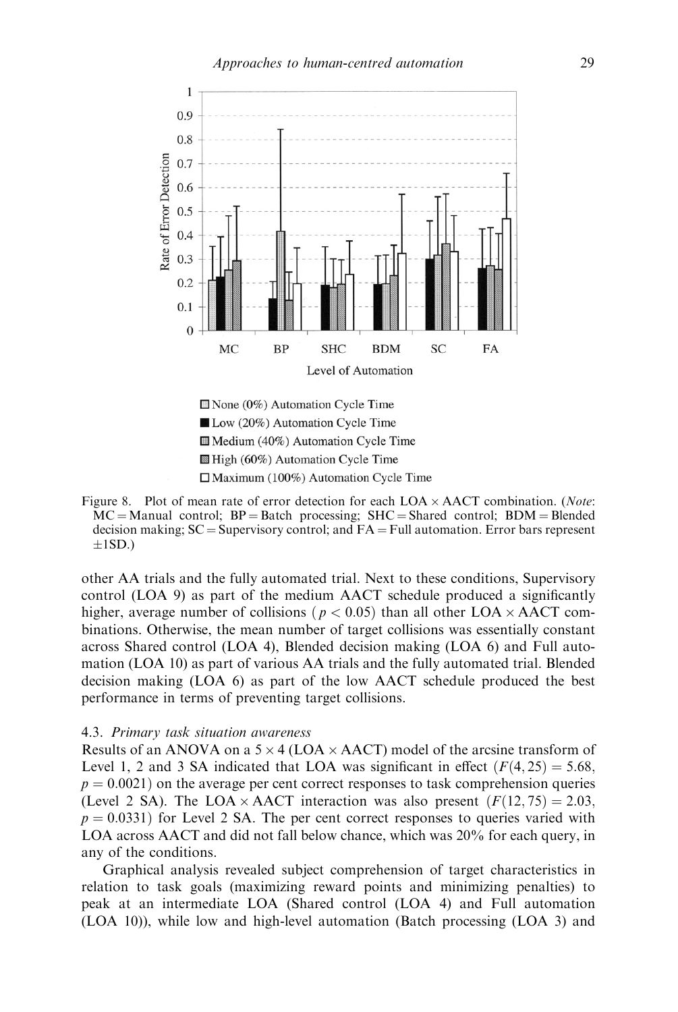

Figure 8. Plot of mean rate of error detection for each  $LOA \times AACT$  combination. (Note:  $MC =$ Manual control;  $BP =$ Batch processing;  $SHC =$ Shared control;  $BDM =$ Blended decision making;  $SC =$  Supervisory control; and  $FA =$  Full automation. Error bars represent  $\pm$ 1SD.)

other AA trials and the fully automated trial. Next to these conditions, Supervisory control (LOA 9) as part of the medium AACT schedule produced a significantly higher, average number of collisions ( $p < 0.05$ ) than all other LOA  $\times$  AACT combinations. Otherwise, the mean number of target collisions was essentially constant across Shared control (LOA 4), Blended decision making (LOA 6) and Full automation (LOA 10) as part of various AA trials and the fully automated trial. Blended decision making (LOA 6) as part of the low AACT schedule produced the best performance in terms of preventing target collisions.

#### 4.3. Primary task situation awareness

Results of an ANOVA on a  $5 \times 4$  (LOA  $\times$  AACT) model of the arcsine transform of Level 1, 2 and 3 SA indicated that LOA was significant in effect  $(F(4, 25) = 5.68$ .  $p = 0.0021$  on the average per cent correct responses to task comprehension queries (Level 2 SA). The LOA  $\times$  AACT interaction was also present  $(F(12, 75) = 2.03$ ;  $p = 0.0331$  for Level 2 SA. The per cent correct responses to queries varied with LOA across AACT and did not fall below chance, which was 20% for each query, in any of the conditions.

Graphical analysis revealed subject comprehension of target characteristics in relation to task goals (maximizing reward points and minimizing penalties) to peak at an intermediate LOA (Shared control (LOA 4) and Full automation (LOA 10)), while low and high-level automation (Batch processing (LOA 3) and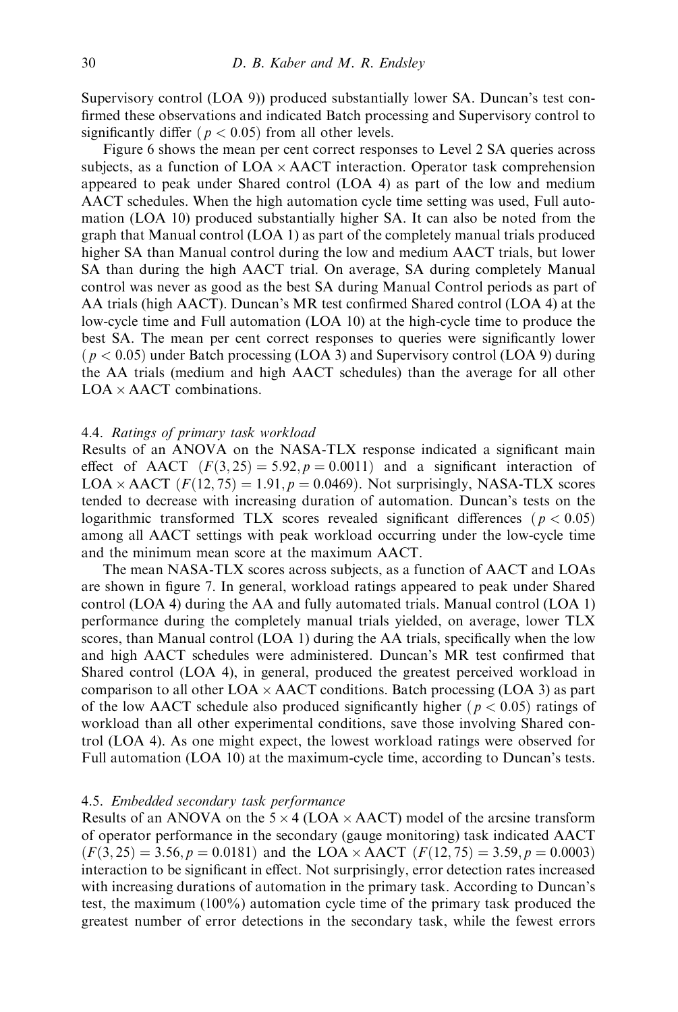Supervisory control (LOA 9)) produced substantially lower SA. Duncan's test confirmed these observations and indicated Batch processing and Supervisory control to significantly differ  $(p < 0.05)$  from all other levels.

Figure 6 shows the mean per cent correct responses to Level 2 SA queries across subjects, as a function of  $LOA \times AACT$  interaction. Operator task comprehension appeared to peak under Shared control (LOA 4) as part of the low and medium AACT schedules. When the high automation cycle time setting was used, Full automation (LOA 10) produced substantially higher SA. It can also be noted from the graph that Manual control (LOA 1) as part of the completely manual trials produced higher SA than Manual control during the low and medium AACT trials, but lower SA than during the high AACT trial. On average, SA during completely Manual control was never as good as the best SA during Manual Control periods as part of AA trials (high AACT). Duncan's MR test confirmed Shared control (LOA 4) at the low-cycle time and Full automation (LOA 10) at the high-cycle time to produce the best SA. The mean per cent correct responses to queries were significantly lower  $(p < 0.05)$  under Batch processing (LOA 3) and Supervisory control (LOA 9) during the AA trials (medium and high AACT schedules) than the average for all other  $LOA \times AACT$  combinations.

## 4.4. Ratings of primary task workload

Results of an ANOVA on the NASA-TLX response indicated a significant main effect of AACT  $(F(3, 25) = 5.92, p = 0.0011)$  and a significant interaction of  $LOA \times AACT$  ( $F(12, 75) = 1.91, p = 0.0469$ ). Not surprisingly, NASA-TLX scores tended to decrease with increasing duration of automation. Duncan's tests on the logarithmic transformed TLX scores revealed significant differences  $(p < 0.05)$ among all AACT settings with peak workload occurring under the low-cycle time and the minimum mean score at the maximum AACT.

The mean NASA-TLX scores across subjects, as a function of AACT and LOAs are shown in figure 7. In general, workload ratings appeared to peak under Shared control (LOA 4) during the AA and fully automated trials. Manual control (LOA 1) performance during the completely manual trials yielded, on average, lower TLX scores, than Manual control (LOA 1) during the AA trials, specifically when the low and high AACT schedules were administered. Duncan's MR test confirmed that Shared control (LOA 4), in general, produced the greatest perceived workload in comparison to all other  $LOA \times AACT$  conditions. Batch processing (LOA 3) as part of the low AACT schedule also produced significantly higher  $(p < 0.05)$  ratings of workload than all other experimental conditions, save those involving Shared control (LOA 4). As one might expect, the lowest workload ratings were observed for Full automation (LOA 10) at the maximum-cycle time, according to Duncan's tests.

## 4.5. Embedded secondary task performance

Results of an ANOVA on the  $5 \times 4$  (LOA  $\times$  AACT) model of the arcsine transform of operator performance in the secondary (gauge monitoring) task indicated AACT  $(F(3, 25) = 3.56, p = 0.0181)$  and the LOA  $\times$  AACT  $(F(12, 75) = 3.59, p = 0.0003)$ interaction to be significant in effect. Not surprisingly, error detection rates increased with increasing durations of automation in the primary task. According to Duncan's test, the maximum (100%) automation cycle time of the primary task produced the greatest number of error detections in the secondary task, while the fewest errors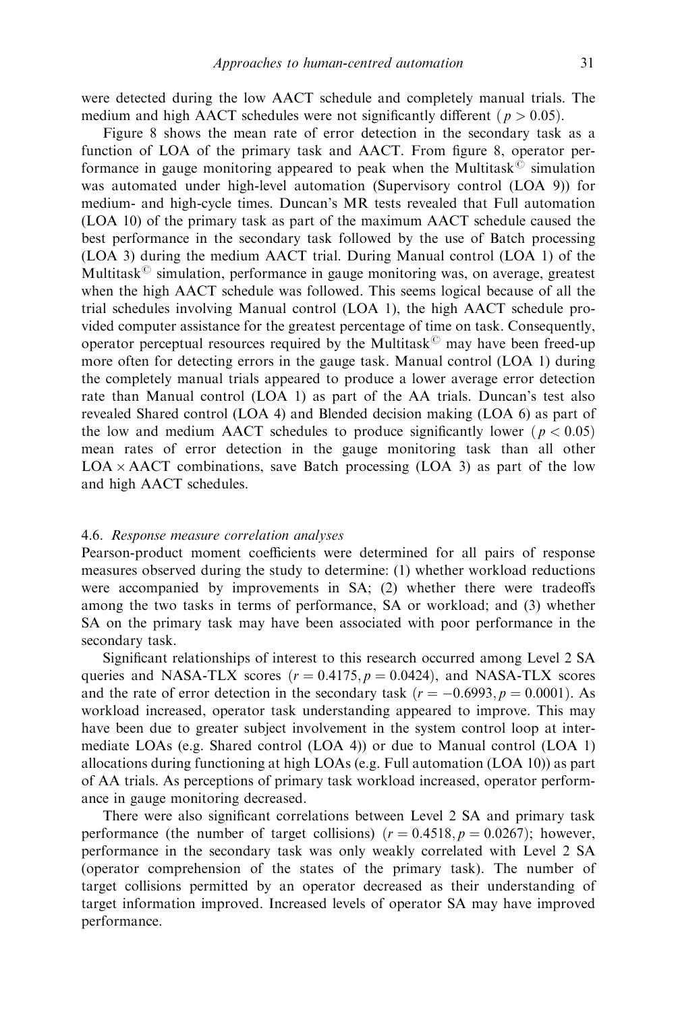were detected during the low AACT schedule and completely manual trials. The medium and high AACT schedules were not significantly different  $(p > 0.05)$ .

Figure 8 shows the mean rate of error detection in the secondary task as a function of LOA of the primary task and AACT. From figure 8, operator performance in gauge monitoring appeared to peak when the Multitask $\mathbb C$  simulation was automated under high-level automation (Supervisory control (LOA 9)) for medium- and high-cycle times. Duncan's MR tests revealed that Full automation (LOA 10) of the primary task as part of the maximum AACT schedule caused the best performance in the secondary task followed by the use of Batch processing (LOA 3) during the medium AACT trial. During Manual control (LOA 1) of the Multitask $\mathbb O$  simulation, performance in gauge monitoring was, on average, greatest when the high AACT schedule was followed. This seems logical because of all the trial schedules involving Manual control (LOA 1), the high AACT schedule provided computer assistance for the greatest percentage of time on task. Consequently, operator perceptual resources required by the Multitask  $\mathcal O$  may have been freed-up more often for detecting errors in the gauge task. Manual control (LOA 1) during the completely manual trials appeared to produce a lower average error detection rate than Manual control (LOA 1) as part of the AA trials. Duncan's test also revealed Shared control (LOA 4) and Blended decision making (LOA 6) as part of the low and medium AACT schedules to produce significantly lower  $(p < 0.05)$ mean rates of error detection in the gauge monitoring task than all other  $LOA \times AACT$  combinations, save Batch processing (LOA 3) as part of the low and high AACT schedules.

#### 4.6. Response measure correlation analyses

Pearson-product moment coefficients were determined for all pairs of response measures observed during the study to determine: (1) whether workload reductions were accompanied by improvements in SA; (2) whether there were tradeoffs among the two tasks in terms of performance, SA or workload; and (3) whether SA on the primary task may have been associated with poor performance in the secondary task.

Significant relationships of interest to this research occurred among Level 2 SA queries and NASA-TLX scores  $(r = 0.4175, p = 0.0424)$ , and NASA-TLX scores and the rate of error detection in the secondary task  $(r = -0.6993, p = 0.0001)$ . As workload increased, operator task understanding appeared to improve. This may have been due to greater subject involvement in the system control loop at intermediate LOAs (e.g. Shared control (LOA 4)) or due to Manual control (LOA 1) allocations during functioning at high LOAs (e.g. Full automation (LOA 10)) as part of AA trials. As perceptions of primary task workload increased, operator performance in gauge monitoring decreased.

There were also significant correlations between Level 2 SA and primary task performance (the number of target collisions)  $(r = 0.4518, p = 0.0267)$ ; however, performance in the secondary task was only weakly correlated with Level 2 SA (operator comprehension of the states of the primary task). The number of target collisions permitted by an operator decreased as their understanding of target information improved. Increased levels of operator SA may have improved performance.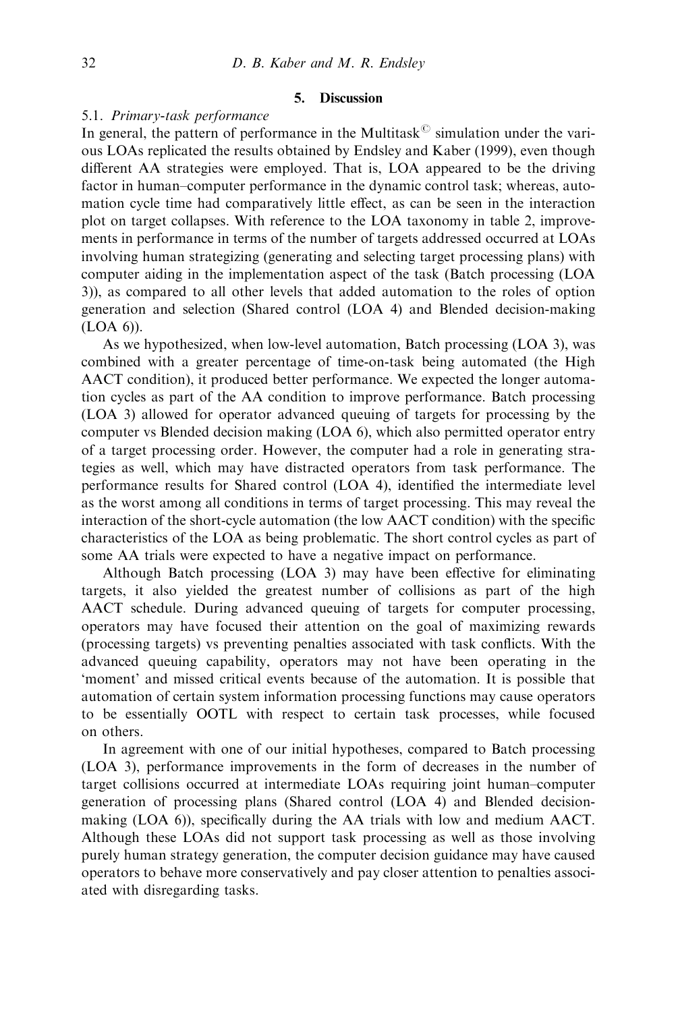## 5. Discussion

# 5.1. Primary-task performance

In general, the pattern of performance in the Multitask  $\mathcal O$  simulation under the various LOAs replicated the results obtained by Endsley and Kaber (1999), even though different AA strategies were employed. That is, LOA appeared to be the driving factor in human–computer performance in the dynamic control task; whereas, automation cycle time had comparatively little effect, as can be seen in the interaction plot on target collapses. With reference to the LOA taxonomy in table 2, improvements in performance in terms of the number of targets addressed occurred at LOAs involving human strategizing (generating and selecting target processing plans) with computer aiding in the implementation aspect of the task (Batch processing (LOA 3)), as compared to all other levels that added automation to the roles of option generation and selection (Shared control (LOA 4) and Blended decision-making (LOA 6)).

As we hypothesized, when low-level automation, Batch processing (LOA 3), was combined with a greater percentage of time-on-task being automated (the High AACT condition), it produced better performance. We expected the longer automation cycles as part of the AA condition to improve performance. Batch processing (LOA 3) allowed for operator advanced queuing of targets for processing by the computer vs Blended decision making (LOA 6), which also permitted operator entry of a target processing order. However, the computer had a role in generating strategies as well, which may have distracted operators from task performance. The performance results for Shared control (LOA 4), identified the intermediate level as the worst among all conditions in terms of target processing. This may reveal the interaction of the short-cycle automation (the low AACT condition) with the specific characteristics of the LOA as being problematic. The short control cycles as part of some AA trials were expected to have a negative impact on performance.

Although Batch processing (LOA 3) may have been effective for eliminating targets, it also yielded the greatest number of collisions as part of the high AACT schedule. During advanced queuing of targets for computer processing, operators may have focused their attention on the goal of maximizing rewards (processing targets) vs preventing penalties associated with task conflicts. With the advanced queuing capability, operators may not have been operating in the 'moment' and missed critical events because of the automation. It is possible that automation of certain system information processing functions may cause operators to be essentially OOTL with respect to certain task processes, while focused on others.

In agreement with one of our initial hypotheses, compared to Batch processing (LOA 3), performance improvements in the form of decreases in the number of target collisions occurred at intermediate LOAs requiring joint human–computer generation of processing plans (Shared control (LOA 4) and Blended decisionmaking (LOA 6)), specifically during the AA trials with low and medium AACT. Although these LOAs did not support task processing as well as those involving purely human strategy generation, the computer decision guidance may have caused operators to behave more conservatively and pay closer attention to penalties associated with disregarding tasks.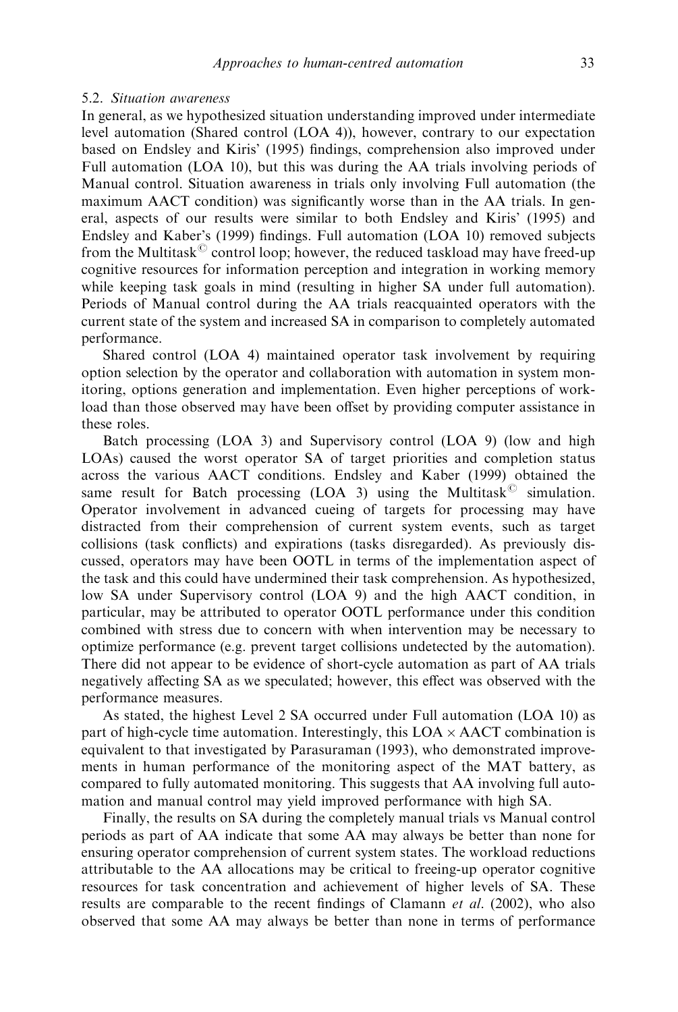#### 5.2. Situation awareness

In general, as we hypothesized situation understanding improved under intermediate level automation (Shared control (LOA 4)), however, contrary to our expectation based on Endsley and Kiris' (1995) findings, comprehension also improved under Full automation (LOA 10), but this was during the AA trials involving periods of Manual control. Situation awareness in trials only involving Full automation (the maximum AACT condition) was significantly worse than in the AA trials. In general, aspects of our results were similar to both Endsley and Kiris' (1995) and Endsley and Kaber's (1999) findings. Full automation (LOA 10) removed subjects from the Multitask  $\degree$  control loop; however, the reduced taskload may have freed-up cognitive resources for information perception and integration in working memory while keeping task goals in mind (resulting in higher SA under full automation). Periods of Manual control during the AA trials reacquainted operators with the current state of the system and increased SA in comparison to completely automated performance.

Shared control (LOA 4) maintained operator task involvement by requiring option selection by the operator and collaboration with automation in system monitoring, options generation and implementation. Even higher perceptions of workload than those observed may have been offset by providing computer assistance in these roles.

Batch processing (LOA 3) and Supervisory control (LOA 9) (low and high LOAs) caused the worst operator SA of target priorities and completion status across the various AACT conditions. Endsley and Kaber (1999) obtained the same result for Batch processing (LOA 3) using the Multitask<sup> $\heartsuit$ </sup> simulation. Operator involvement in advanced cueing of targets for processing may have distracted from their comprehension of current system events, such as target collisions (task conflicts) and expirations (tasks disregarded). As previously discussed, operators may have been OOTL in terms of the implementation aspect of the task and this could have undermined their task comprehension. As hypothesized, low SA under Supervisory control (LOA 9) and the high AACT condition, in particular, may be attributed to operator OOTL performance under this condition combined with stress due to concern with when intervention may be necessary to optimize performance (e.g. prevent target collisions undetected by the automation). There did not appear to be evidence of short-cycle automation as part of AA trials negatively affecting SA as we speculated; however, this effect was observed with the performance measures.

As stated, the highest Level 2 SA occurred under Full automation (LOA 10) as part of high-cycle time automation. Interestingly, this  $LOA \times AACT$  combination is equivalent to that investigated by Parasuraman (1993), who demonstrated improvements in human performance of the monitoring aspect of the MAT battery, as compared to fully automated monitoring. This suggests that AA involving full automation and manual control may yield improved performance with high SA.

Finally, the results on SA during the completely manual trials vs Manual control periods as part of AA indicate that some AA may always be better than none for ensuring operator comprehension of current system states. The workload reductions attributable to the AA allocations may be critical to freeing-up operator cognitive resources for task concentration and achievement of higher levels of SA. These results are comparable to the recent findings of Clamann *et al.* (2002), who also observed that some AA may always be better than none in terms of performance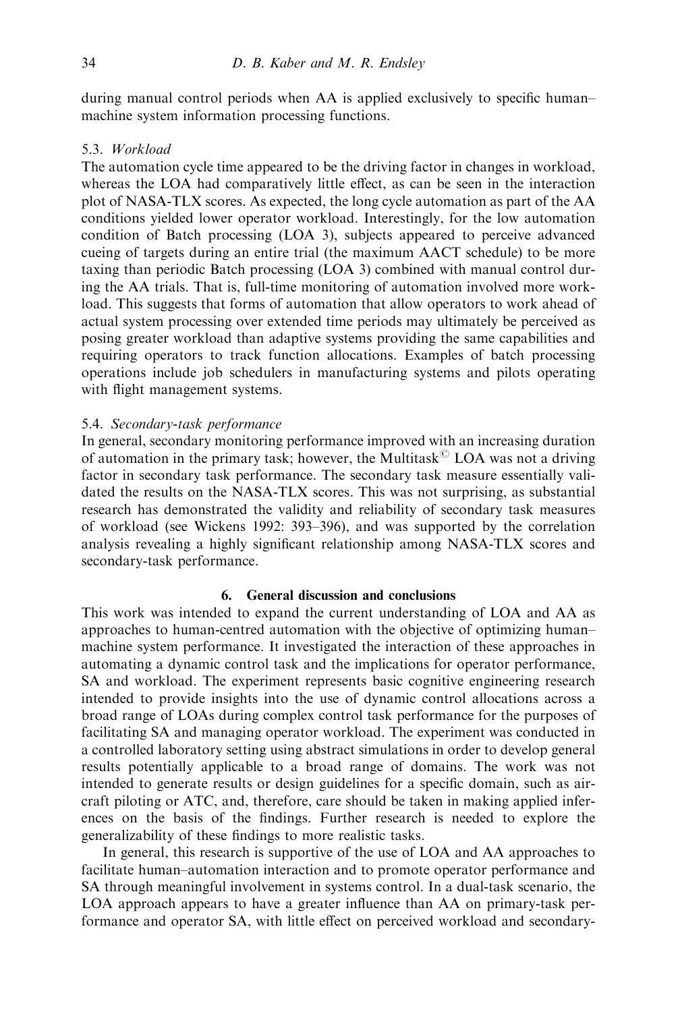during manual control periods when AA is applied exclusively to specific human– machine system information processing functions.

## 5.3. Workload

The automation cycle time appeared to be the driving factor in changes in workload, whereas the LOA had comparatively little effect, as can be seen in the interaction plot of NASA-TLX scores. As expected, the long cycle automation as part of the AA conditions yielded lower operator workload. Interestingly, for the low automation condition of Batch processing (LOA 3), subjects appeared to perceive advanced cueing of targets during an entire trial (the maximum AACT schedule) to be more taxing than periodic Batch processing (LOA 3) combined with manual control during the AA trials. That is, full-time monitoring of automation involved more workload. This suggests that forms of automation that allow operators to work ahead of actual system processing over extended time periods may ultimately be perceived as posing greater workload than adaptive systems providing the same capabilities and requiring operators to track function allocations. Examples of batch processing operations include job schedulers in manufacturing systems and pilots operating with flight management systems.

# 5.4. Secondary-task performance

In general, secondary monitoring performance improved with an increasing duration of automation in the primary task; however, the Multitask $\mathbb O$  LOA was not a driving factor in secondary task performance. The secondary task measure essentially validated the results on the NASA-TLX scores. This was not surprising, as substantial research has demonstrated the validity and reliability of secondary task measures of workload (see Wickens 1992: 393–396), and was supported by the correlation analysis revealing a highly significant relationship among NASA-TLX scores and secondary-task performance.

# 6. General discussion and conclusions

This work was intended to expand the current understanding of LOA and AA as approaches to human-centred automation with the objective of optimizing human– machine system performance. It investigated the interaction of these approaches in automating a dynamic control task and the implications for operator performance, SA and workload. The experiment represents basic cognitive engineering research intended to provide insights into the use of dynamic control allocations across a broad range of LOAs during complex control task performance for the purposes of facilitating SA and managing operator workload. The experiment was conducted in a controlled laboratory setting using abstract simulations in order to develop general results potentially applicable to a broad range of domains. The work was not intended to generate results or design guidelines for a specific domain, such as aircraft piloting or ATC, and, therefore, care should be taken in making applied inferences on the basis of the findings. Further research is needed to explore the generalizability of these findings to more realistic tasks.

In general, this research is supportive of the use of LOA and AA approaches to facilitate human–automation interaction and to promote operator performance and SA through meaningful involvement in systems control. In a dual-task scenario, the LOA approach appears to have a greater influence than AA on primary-task performance and operator SA, with little effect on perceived workload and secondary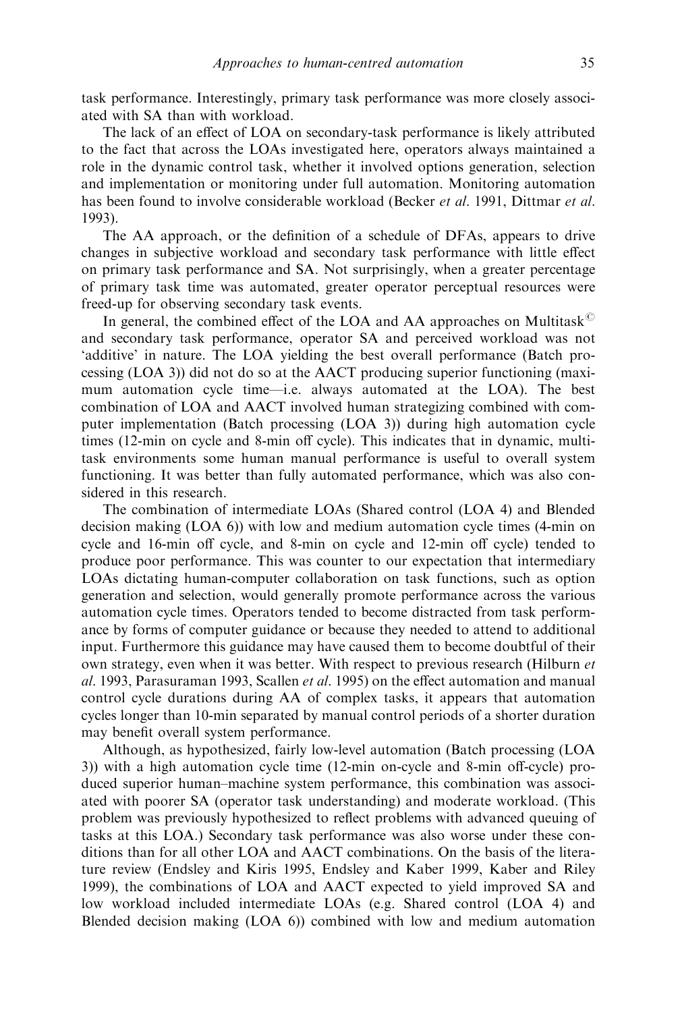task performance. Interestingly, primary task performance was more closely associated with SA than with workload.

The lack of an effect of LOA on secondary-task performance is likely attributed to the fact that across the LOAs investigated here, operators always maintained a role in the dynamic control task, whether it involved options generation, selection and implementation or monitoring under full automation. Monitoring automation has been found to involve considerable workload (Becker *et al.* 1991, Dittmar *et al.* 1993).

The AA approach, or the definition of a schedule of DFAs, appears to drive changes in subjective workload and secondary task performance with little effect on primary task performance and SA. Not surprisingly, when a greater percentage of primary task time was automated, greater operator perceptual resources were freed-up for observing secondary task events.

In general, the combined effect of the LOA and AA approaches on Multitask $\mathbb{O}$ and secondary task performance, operator SA and perceived workload was not 'additive' in nature. The LOA yielding the best overall performance (Batch processing (LOA 3)) did not do so at the AACT producing superior functioning (maximum automation cycle time—i.e. always automated at the LOA). The best combination of LOA and AACT involved human strategizing combined with computer implementation (Batch processing (LOA 3)) during high automation cycle times (12-min on cycle and 8-min off cycle). This indicates that in dynamic, multitask environments some human manual performance is useful to overall system functioning. It was better than fully automated performance, which was also considered in this research.

The combination of intermediate LOAs (Shared control (LOA 4) and Blended decision making (LOA 6)) with low and medium automation cycle times (4-min on cycle and 16-min off cycle, and 8-min on cycle and 12-min off cycle) tended to produce poor performance. This was counter to our expectation that intermediary LOAs dictating human-computer collaboration on task functions, such as option generation and selection, would generally promote performance across the various automation cycle times. Operators tended to become distracted from task performance by forms of computer guidance or because they needed to attend to additional input. Furthermore this guidance may have caused them to become doubtful of their own strategy, even when it was better. With respect to previous research (Hilburn *et* al. 1993, Parasuraman 1993, Scallen et al. 1995) on the effect automation and manual control cycle durations during AA of complex tasks, it appears that automation cycles longer than 10-min separated by manual control periods of a shorter duration may benefit overall system performance.

Although, as hypothesized, fairly low-level automation (Batch processing (LOA 3)) with a high automation cycle time (12-min on-cycle and 8-min off-cycle) produced superior human–machine system performance, this combination was associated with poorer SA (operator task understanding) and moderate workload. (This problem was previously hypothesized to reflect problems with advanced queuing of tasks at this LOA.) Secondary task performance was also worse under these conditions than for all other LOA and AACT combinations. On the basis of the literature review (Endsley and Kiris 1995, Endsley and Kaber 1999, Kaber and Riley 1999), the combinations of LOA and AACT expected to yield improved SA and low workload included intermediate LOAs (e.g. Shared control (LOA 4) and Blended decision making (LOA 6)) combined with low and medium automation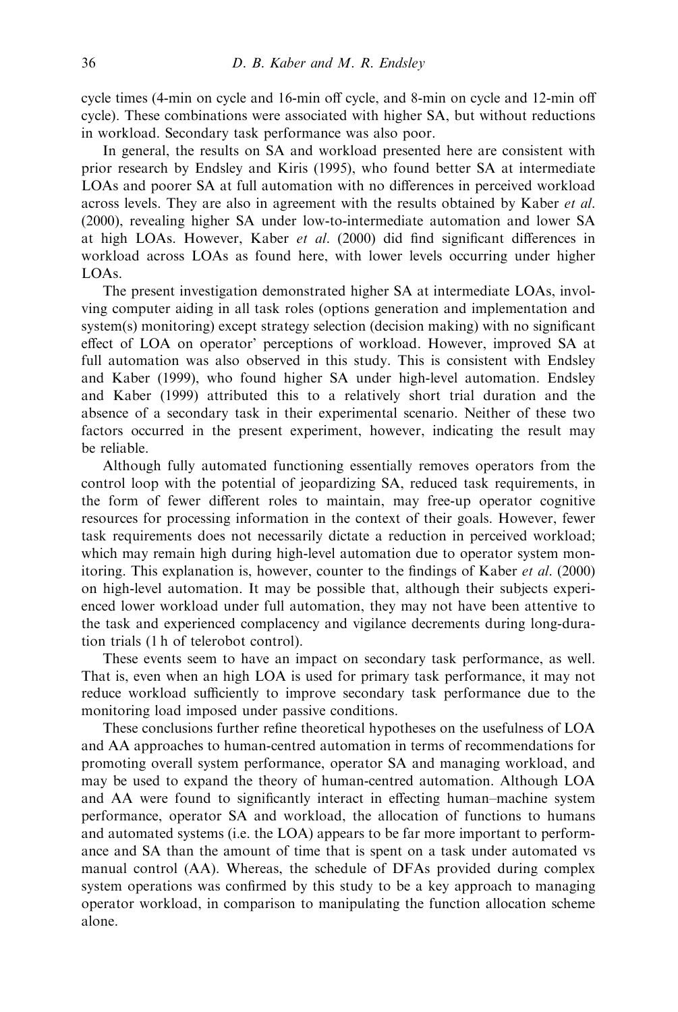cycle times (4-min on cycle and 16-min off cycle, and 8-min on cycle and 12-min off cycle). These combinations were associated with higher SA, but without reductions in workload. Secondary task performance was also poor.

In general, the results on SA and workload presented here are consistent with prior research by Endsley and Kiris (1995), who found better SA at intermediate LOAs and poorer SA at full automation with no differences in perceived workload across levels. They are also in agreement with the results obtained by Kaber et al. (2000), revealing higher SA under low-to-intermediate automation and lower SA at high LOAs. However, Kaber et al.  $(2000)$  did find significant differences in workload across LOAs as found here, with lower levels occurring under higher LOAs.

The present investigation demonstrated higher SA at intermediate LOAs, involving computer aiding in all task roles (options generation and implementation and system(s) monitoring) except strategy selection (decision making) with no significant effect of LOA on operator' perceptions of workload. However, improved SA at full automation was also observed in this study. This is consistent with Endsley and Kaber (1999), who found higher SA under high-level automation. Endsley and Kaber (1999) attributed this to a relatively short trial duration and the absence of a secondary task in their experimental scenario. Neither of these two factors occurred in the present experiment, however, indicating the result may be reliable.

Although fully automated functioning essentially removes operators from the control loop with the potential of jeopardizing SA, reduced task requirements, in the form of fewer different roles to maintain, may free-up operator cognitive resources for processing information in the context of their goals. However, fewer task requirements does not necessarily dictate a reduction in perceived workload; which may remain high during high-level automation due to operator system monitoring. This explanation is, however, counter to the findings of Kaber *et al.* (2000) on high-level automation. It may be possible that, although their subjects experienced lower workload under full automation, they may not have been attentive to the task and experienced complacency and vigilance decrements during long-duration trials (1 h of telerobot control).

These events seem to have an impact on secondary task performance, as well. That is, even when an high LOA is used for primary task performance, it may not reduce workload sufficiently to improve secondary task performance due to the monitoring load imposed under passive conditions.

These conclusions further refine theoretical hypotheses on the usefulness of LOA and AA approaches to human-centred automation in terms of recommendations for promoting overall system performance, operator SA and managing workload, and may be used to expand the theory of human-centred automation. Although LOA and AA were found to significantly interact in effecting human–machine system performance, operator SA and workload, the allocation of functions to humans and automated systems (i.e. the LOA) appears to be far more important to performance and SA than the amount of time that is spent on a task under automated vs manual control (AA). Whereas, the schedule of DFAs provided during complex system operations was confirmed by this study to be a key approach to managing operator workload, in comparison to manipulating the function allocation scheme alone.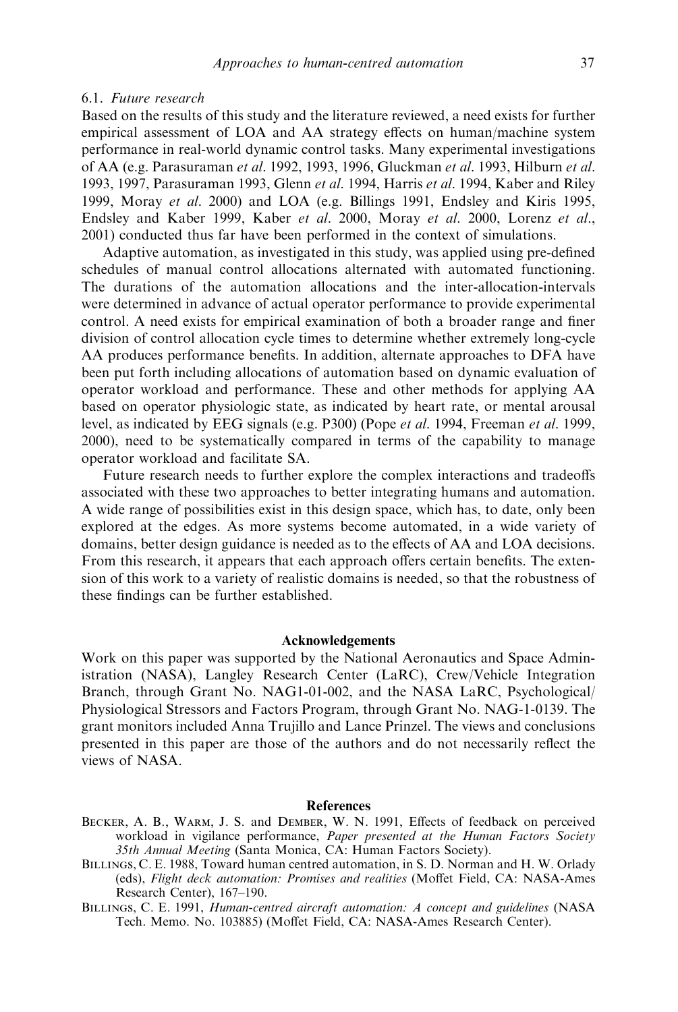#### 6.1. Future research

Based on the results of this study and the literature reviewed, a need exists for further empirical assessment of LOA and AA strategy effects on human/machine system performance in real-world dynamic control tasks. Many experimental investigations of AA (e.g. Parasuraman et al. 1992, 1993, 1996, Gluckman et al. 1993, Hilburn et al. 1993, 1997, Parasuraman 1993, Glenn et al. 1994, Harris et al. 1994, Kaber and Riley 1999, Moray et al. 2000) and LOA (e.g. Billings 1991, Endsley and Kiris 1995, Endsley and Kaber 1999, Kaber et al. 2000, Moray et al. 2000, Lorenz et al., 2001) conducted thus far have been performed in the context of simulations.

Adaptive automation, as investigated in this study, was applied using pre-defined schedules of manual control allocations alternated with automated functioning. The durations of the automation allocations and the inter-allocation-intervals were determined in advance of actual operator performance to provide experimental control. A need exists for empirical examination of both a broader range and finer division of control allocation cycle times to determine whether extremely long-cycle AA produces performance benefits. In addition, alternate approaches to DFA have been put forth including allocations of automation based on dynamic evaluation of operator workload and performance. These and other methods for applying AA based on operator physiologic state, as indicated by heart rate, or mental arousal level, as indicated by EEG signals (e.g. P300) (Pope et al. 1994, Freeman et al. 1999, 2000), need to be systematically compared in terms of the capability to manage operator workload and facilitate SA.

Future research needs to further explore the complex interactions and tradeoffs associated with these two approaches to better integrating humans and automation. A wide range of possibilities exist in this design space, which has, to date, only been explored at the edges. As more systems become automated, in a wide variety of domains, better design guidance is needed as to the effects of AA and LOA decisions. From this research, it appears that each approach offers certain benefits. The extension of this work to a variety of realistic domains is needed, so that the robustness of these findings can be further established.

## Acknowledgements

Work on this paper was supported by the National Aeronautics and Space Administration (NASA), Langley Research Center (LaRC), Crew/Vehicle Integration Branch, through Grant No. NAG1-01-002, and the NASA LaRC, Psychological/ Physiological Stressors and Factors Program, through Grant No. NAG-1-0139. The grant monitors included Anna Trujillo and Lance Prinzel. The views and conclusions presented in this paper are those of the authors and do not necessarily reflect the views of NASA.

#### References

- BECKER, A. B., WARM, J. S. and DEMBER, W. N. 1991, Effects of feedback on perceived workload in vigilance performance, Paper presented at the Human Factors Society 35th Annual Meeting (Santa Monica, CA: Human Factors Society).
- BILLINGS, C. E. 1988, Toward human centred automation, in S. D. Norman and H. W. Orlady (eds), Flight deck automation: Promises and realities (Moffet Field, CA: NASA-Ames Research Center), 167–190.
- BILLINGS, C. E. 1991, Human-centred aircraft automation: A concept and guidelines (NASA Tech. Memo. No. 103885) (Moffet Field, CA: NASA-Ames Research Center).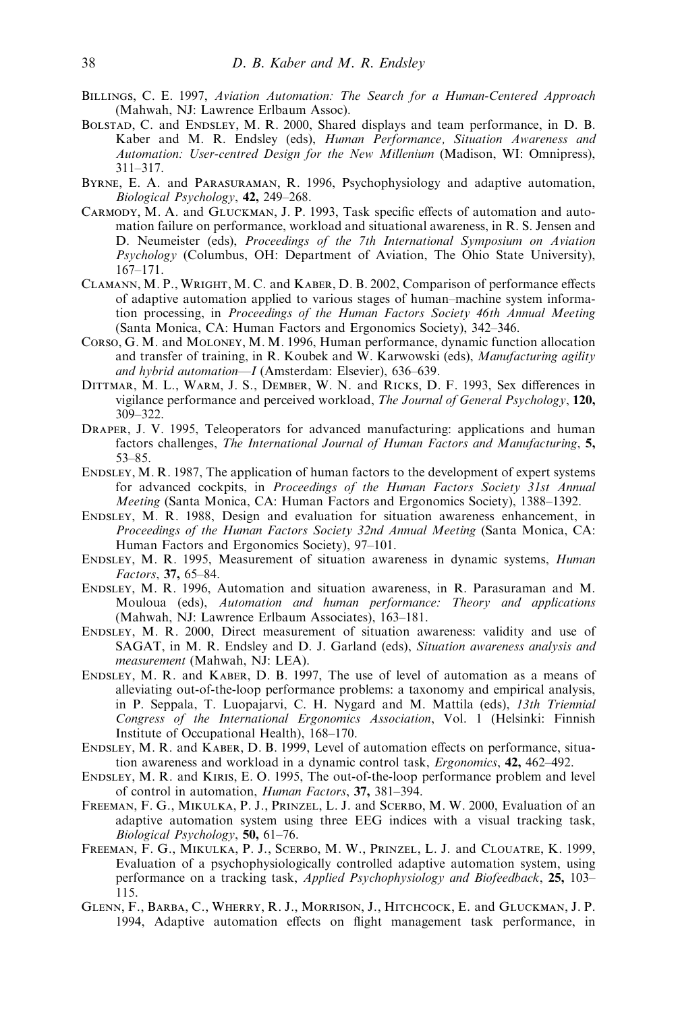- Billings, C. E. 1997, Aviation Automation: The Search for a Human-Centered Approach (Mahwah, NJ: Lawrence Erlbaum Assoc).
- BOLSTAD, C. and ENDSLEY, M. R. 2000, Shared displays and team performance, in D. B. Kaber and M. R. Endsley (eds), Human Performance, Situation Awareness and Automation: User-centred Design for the New Millenium (Madison, WI: Omnipress), 311–317.
- Byrne, E. A. and Parasuraman, R. 1996, Psychophysiology and adaptive automation, Biological Psychology, 42, 249–268.
- Carmody, M. A. and Gluckman, J. P. 1993, Task specific effects of automation and automation failure on performance, workload and situational awareness, in R. S. Jensen and D. Neumeister (eds), Proceedings of the 7th International Symposium on Aviation Psychology (Columbus, OH: Department of Aviation, The Ohio State University), 167–171.
- Clamann, M. P., Wright, M. C. and Kaber, D. B. 2002, Comparison of performance effects of adaptive automation applied to various stages of human–machine system information processing, in Proceedings of the Human Factors Society 46th Annual Meeting (Santa Monica, CA: Human Factors and Ergonomics Society), 342–346.
- Corso, G. M. and Moloney, M. M. 1996, Human performance, dynamic function allocation and transfer of training, in R. Koubek and W. Karwowski (eds), Manufacturing agility and hybrid automation—I (Amsterdam: Elsevier), 636–639.
- DITTMAR, M. L., WARM, J. S., DEMBER, W. N. and RICKS, D. F. 1993, Sex differences in vigilance performance and perceived workload, The Journal of General Psychology, 120, 309–322.
- Draper, J. V. 1995, Teleoperators for advanced manufacturing: applications and human factors challenges, The International Journal of Human Factors and Manufacturing, 5, 53–85.
- ENDSLEY, M. R. 1987, The application of human factors to the development of expert systems for advanced cockpits, in Proceedings of the Human Factors Society 31st Annual Meeting (Santa Monica, CA: Human Factors and Ergonomics Society), 1388–1392.
- ENDSLEY, M. R. 1988, Design and evaluation for situation awareness enhancement, in Proceedings of the Human Factors Society 32nd Annual Meeting (Santa Monica, CA: Human Factors and Ergonomics Society), 97–101.
- ENDSLEY, M. R. 1995, Measurement of situation awareness in dynamic systems, Human Factors, 37, 65–84.
- Endsley, M. R. 1996, Automation and situation awareness, in R. Parasuraman and M. Mouloua (eds), Automation and human performance: Theory and applications (Mahwah, NJ: Lawrence Erlbaum Associates), 163–181.
- Endsley, M. R. 2000, Direct measurement of situation awareness: validity and use of SAGAT, in M. R. Endsley and D. J. Garland (eds), Situation awareness analysis and measurement (Mahwah, NJ: LEA).
- ENDSLEY, M. R. and KABER, D. B. 1997, The use of level of automation as a means of alleviating out-of-the-loop performance problems: a taxonomy and empirical analysis, in P. Seppala, T. Luopajarvi, C. H. Nygard and M. Mattila (eds), 13th Triennial Congress of the International Ergonomics Association, Vol. 1 (Helsinki: Finnish Institute of Occupational Health), 168–170.
- ENDSLEY, M. R. and KABER, D. B. 1999, Level of automation effects on performance, situation awareness and workload in a dynamic control task, Ergonomics, 42, 462–492.
- ENDSLEY, M. R. and KIRIS, E. O. 1995, The out-of-the-loop performance problem and level of control in automation, Human Factors, 37, 381–394.
- Freeman, F. G., Mikulka, P. J., Prinzel, L. J. and Scerbo, M. W. 2000, Evaluation of an adaptive automation system using three EEG indices with a visual tracking task, Biological Psychology, 50, 61–76.
- FREEMAN, F. G., MIKULKA, P. J., SCERBO, M. W., PRINZEL, L. J. and CLOUATRE, K. 1999, Evaluation of a psychophysiologically controlled adaptive automation system, using performance on a tracking task, Applied Psychophysiology and Biofeedback, 25, 103– 115.
- Glenn, F., Barba, C., Wherry, R. J., Morrison, J., Hitchcock, E. and Gluckman, J. P. 1994, Adaptive automation effects on flight management task performance, in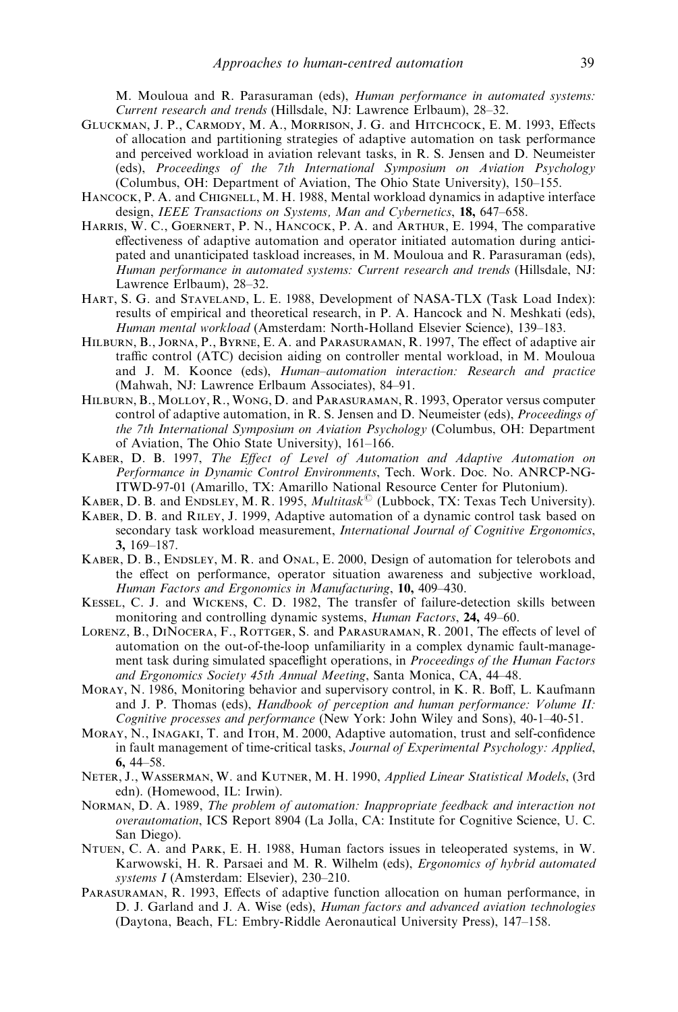M. Mouloua and R. Parasuraman (eds), Human performance in automated systems: Current research and trends (Hillsdale, NJ: Lawrence Erlbaum), 28–32.

- Gluckman, J. P., Carmody, M. A., Morrison, J. G. and Hitchcock, E. M. 1993, Effects of allocation and partitioning strategies of adaptive automation on task performance and perceived workload in aviation relevant tasks, in R. S. Jensen and D. Neumeister (eds), Proceedings of the 7th International Symposium on Aviation Psychology (Columbus, OH: Department of Aviation, The Ohio State University), 150–155.
- HANCOCK, P. A. and CHIGNELL, M. H. 1988, Mental workload dynamics in adaptive interface design, IEEE Transactions on Systems, Man and Cybernetics, 18, 647–658.
- Harris, W. C., Goernert, P. N., Hancock, P. A. and Arthur, E. 1994, The comparative effectiveness of adaptive automation and operator initiated automation during anticipated and unanticipated taskload increases, in M. Mouloua and R. Parasuraman (eds), Human performance in automated systems: Current research and trends (Hillsdale, NJ: Lawrence Erlbaum), 28–32.
- Hart, S. G. and Staveland, L. E. 1988, Development of NASA-TLX (Task Load Index): results of empirical and theoretical research, in P. A. Hancock and N. Meshkati (eds), Human mental workload (Amsterdam: North-Holland Elsevier Science), 139–183.
- Hilburn, B., Jorna, P., Byrne, E. A. and Parasuraman, R. 1997, The effect of adaptive air traffic control (ATC) decision aiding on controller mental workload, in M. Mouloua and J. M. Koonce (eds), Human–automation interaction: Research and practice (Mahwah, NJ: Lawrence Erlbaum Associates), 84–91.
- Hilburn, B.,Molloy, R.,Wong, D. and Parasuraman, R. 1993, Operator versus computer control of adaptive automation, in R. S. Jensen and D. Neumeister (eds), *Proceedings of* the 7th International Symposium on Aviation Psychology (Columbus, OH: Department of Aviation, The Ohio State University), 161–166.
- Kaber, D. B. 1997, The Effect of Level of Automation and Adaptive Automation on Performance in Dynamic Control Environments, Tech. Work. Doc. No. ANRCP-NG-ITWD-97-01 (Amarillo, TX: Amarillo National Resource Center for Plutonium).
- KABER, D. B. and ENDSLEY, M. R. 1995, *Multitask*<sup>©</sup> (Lubbock, TX: Texas Tech University).
- Kaber, D. B. and Riley, J. 1999, Adaptive automation of a dynamic control task based on secondary task workload measurement, International Journal of Cognitive Ergonomics, 3, 169–187.
- KABER, D. B., ENDSLEY, M. R. and ONAL, E. 2000, Design of automation for telerobots and the effect on performance, operator situation awareness and subjective workload, Human Factors and Ergonomics in Manufacturing, 10, 409–430.
- Kessel, C. J. and Wickens, C. D. 1982, The transfer of failure-detection skills between monitoring and controlling dynamic systems, *Human Factors*, **24,** 49–60.
- LORENZ, B., DINOCERA, F., ROTTGER, S. and PARASURAMAN, R. 2001, The effects of level of automation on the out-of-the-loop unfamiliarity in a complex dynamic fault-management task during simulated spaceflight operations, in *Proceedings of the Human Factors* and Ergonomics Society 45th Annual Meeting, Santa Monica, CA, 44–48.
- Moray, N. 1986, Monitoring behavior and supervisory control, in K. R. Boff, L. Kaufmann and J. P. Thomas (eds), Handbook of perception and human performance: Volume II: Cognitive processes and performance (New York: John Wiley and Sons), 40-1–40-51.
- Moray, N., Inagaki, T. and Itoh, M. 2000, Adaptive automation, trust and self-confidence in fault management of time-critical tasks, Journal of Experimental Psychology: Applied, 6, 44–58.
- NETER, J., WASSERMAN, W. and KUTNER, M. H. 1990, Applied Linear Statistical Models, (3rd edn). (Homewood, IL: Irwin).
- Norman, D. A. 1989, The problem of automation: Inappropriate feedback and interaction not overautomation, ICS Report 8904 (La Jolla, CA: Institute for Cognitive Science, U. C. San Diego).
- Ntuen, C. A. and Park, E. H. 1988, Human factors issues in teleoperated systems, in W. Karwowski, H. R. Parsaei and M. R. Wilhelm (eds), Ergonomics of hybrid automated systems I (Amsterdam: Elsevier), 230–210.
- Parasuraman, R. 1993, Effects of adaptive function allocation on human performance, in D. J. Garland and J. A. Wise (eds), Human factors and advanced aviation technologies (Daytona, Beach, FL: Embry-Riddle Aeronautical University Press), 147–158.